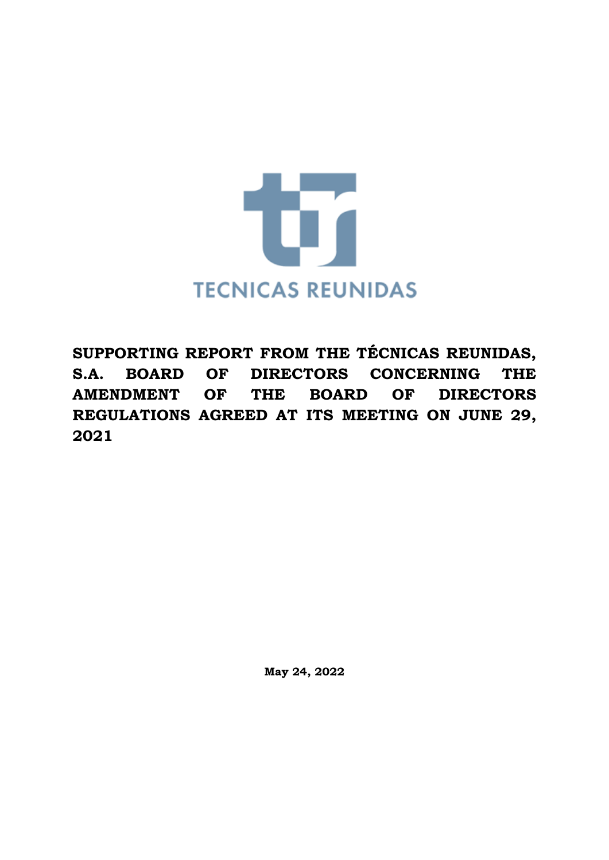

**SUPPORTING REPORT FROM THE TÉCNICAS REUNIDAS, S.A. BOARD OF DIRECTORS CONCERNING THE AMENDMENT OF THE BOARD OF DIRECTORS REGULATIONS AGREED AT ITS MEETING ON JUNE 29, 2021**

**May 24, 2022**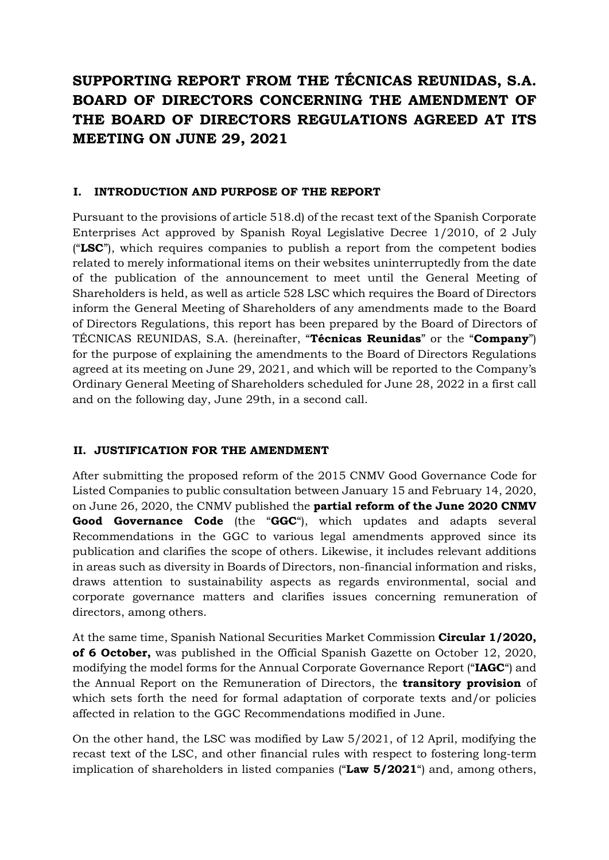# **SUPPORTING REPORT FROM THE TÉCNICAS REUNIDAS, S.A. BOARD OF DIRECTORS CONCERNING THE AMENDMENT OF THE BOARD OF DIRECTORS REGULATIONS AGREED AT ITS MEETING ON JUNE 29, 2021**

#### **I. INTRODUCTION AND PURPOSE OF THE REPORT**

Pursuant to the provisions of article 518.d) of the recast text of the Spanish Corporate Enterprises Act approved by Spanish Royal Legislative Decree 1/2010, of 2 July ("**LSC**"), which requires companies to publish a report from the competent bodies related to merely informational items on their websites uninterruptedly from the date of the publication of the announcement to meet until the General Meeting of Shareholders is held, as well as article 528 LSC which requires the Board of Directors inform the General Meeting of Shareholders of any amendments made to the Board of Directors Regulations, this report has been prepared by the Board of Directors of TÉCNICAS REUNIDAS, S.A. (hereinafter, "**Técnicas Reunidas**" or the "**Company**") for the purpose of explaining the amendments to the Board of Directors Regulations agreed at its meeting on June 29, 2021, and which will be reported to the Company's Ordinary General Meeting of Shareholders scheduled for June 28, 2022 in a first call and on the following day, June 29th, in a second call.

#### **II. JUSTIFICATION FOR THE AMENDMENT**

After submitting the proposed reform of the 2015 CNMV Good Governance Code for Listed Companies to public consultation between January 15 and February 14, 2020, on June 26, 2020, the CNMV published the **partial reform of the June 2020 CNMV Good Governance Code** (the "**GGC**"), which updates and adapts several Recommendations in the GGC to various legal amendments approved since its publication and clarifies the scope of others. Likewise, it includes relevant additions in areas such as diversity in Boards of Directors, non-financial information and risks, draws attention to sustainability aspects as regards environmental, social and corporate governance matters and clarifies issues concerning remuneration of directors, among others.

At the same time, Spanish National Securities Market Commission **Circular 1/2020, of 6 October,** was published in the Official Spanish Gazette on October 12, 2020, modifying the model forms for the Annual Corporate Governance Report ("**IAGC**") and the Annual Report on the Remuneration of Directors, the **transitory provision** of which sets forth the need for formal adaptation of corporate texts and/or policies affected in relation to the GGC Recommendations modified in June.

On the other hand, the LSC was modified by Law 5/2021, of 12 April, modifying the recast text of the LSC, and other financial rules with respect to fostering long-term implication of shareholders in listed companies ("**Law 5/2021**") and, among others,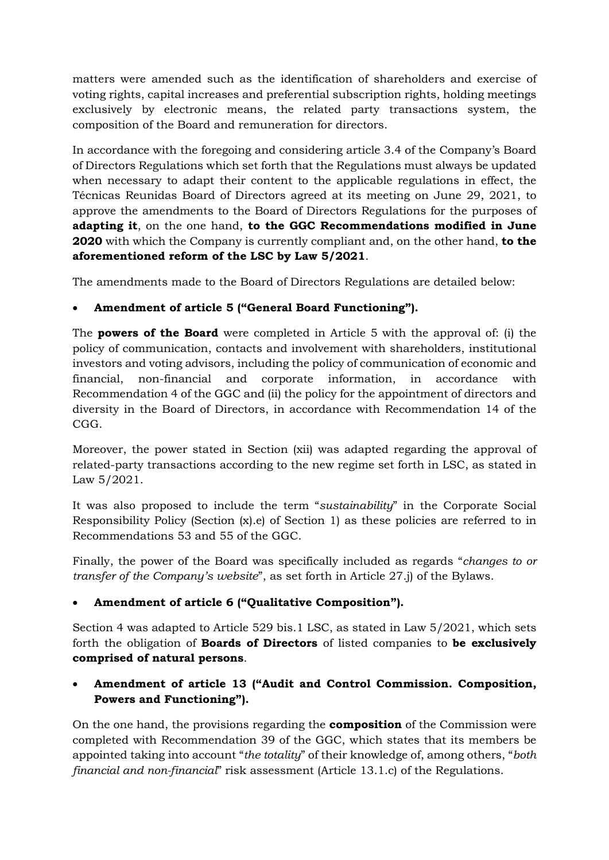matters were amended such as the identification of shareholders and exercise of voting rights, capital increases and preferential subscription rights, holding meetings exclusively by electronic means, the related party transactions system, the composition of the Board and remuneration for directors.

In accordance with the foregoing and considering article 3.4 of the Company's Board of Directors Regulations which set forth that the Regulations must always be updated when necessary to adapt their content to the applicable regulations in effect, the Técnicas Reunidas Board of Directors agreed at its meeting on June 29, 2021, to approve the amendments to the Board of Directors Regulations for the purposes of **adapting it**, on the one hand, **to the GGC Recommendations modified in June 2020** with which the Company is currently compliant and, on the other hand, **to the aforementioned reform of the LSC by Law 5/2021**.

The amendments made to the Board of Directors Regulations are detailed below:

# • **Amendment of article 5 ("General Board Functioning").**

The **powers of the Board** were completed in Article 5 with the approval of: (i) the policy of communication, contacts and involvement with shareholders, institutional investors and voting advisors, including the policy of communication of economic and financial, non-financial and corporate information, in accordance with Recommendation 4 of the GGC and (ii) the policy for the appointment of directors and diversity in the Board of Directors, in accordance with Recommendation 14 of the CGG.

Moreover, the power stated in Section (xii) was adapted regarding the approval of related-party transactions according to the new regime set forth in LSC, as stated in Law 5/2021.

It was also proposed to include the term "*sustainability*" in the Corporate Social Responsibility Policy (Section (x).e) of Section 1) as these policies are referred to in Recommendations 53 and 55 of the GGC.

Finally, the power of the Board was specifically included as regards "*changes to or transfer of the Company's website*", as set forth in Article 27.j) of the Bylaws.

# • **Amendment of article 6 ("Qualitative Composition").**

Section 4 was adapted to Article 529 bis.1 LSC, as stated in Law 5/2021, which sets forth the obligation of **Boards of Directors** of listed companies to **be exclusively comprised of natural persons**.

# • **Amendment of article 13 ("Audit and Control Commission. Composition, Powers and Functioning").**

On the one hand, the provisions regarding the **composition** of the Commission were completed with Recommendation 39 of the GGC, which states that its members be appointed taking into account "*the totality*" of their knowledge of, among others, "*both financial and non-financial*" risk assessment (Article 13.1.c) of the Regulations.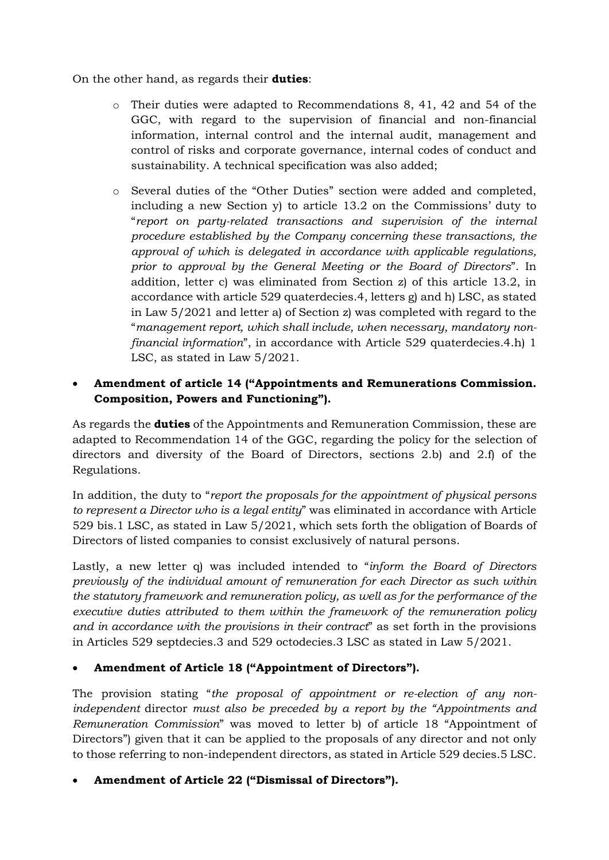On the other hand, as regards their **duties**:

- o Their duties were adapted to Recommendations 8, 41, 42 and 54 of the GGC, with regard to the supervision of financial and non-financial information, internal control and the internal audit, management and control of risks and corporate governance, internal codes of conduct and sustainability. A technical specification was also added;
- o Several duties of the "Other Duties" section were added and completed, including a new Section y) to article 13.2 on the Commissions' duty to "*report on party-related transactions and supervision of the internal procedure established by the Company concerning these transactions, the approval of which is delegated in accordance with applicable regulations, prior to approval by the General Meeting or the Board of Directors*". In addition, letter c) was eliminated from Section z) of this article 13.2, in accordance with article 529 quaterdecies.4, letters g) and h) LSC, as stated in Law 5/2021 and letter a) of Section z) was completed with regard to the "*management report, which shall include, when necessary, mandatory nonfinancial information*", in accordance with Article 529 quaterdecies.4.h) 1 LSC, as stated in Law 5/2021.

#### • **Amendment of article 14 ("Appointments and Remunerations Commission. Composition, Powers and Functioning").**

As regards the **duties** of the Appointments and Remuneration Commission, these are adapted to Recommendation 14 of the GGC, regarding the policy for the selection of directors and diversity of the Board of Directors, sections 2.b) and 2.f) of the Regulations.

In addition, the duty to "*report the proposals for the appointment of physical persons to represent a Director who is a legal entity*" was eliminated in accordance with Article 529 bis.1 LSC, as stated in Law 5/2021, which sets forth the obligation of Boards of Directors of listed companies to consist exclusively of natural persons.

Lastly, a new letter q) was included intended to "*inform the Board of Directors previously of the individual amount of remuneration for each Director as such within the statutory framework and remuneration policy, as well as for the performance of the executive duties attributed to them within the framework of the remuneration policy and in accordance with the provisions in their contract*" as set forth in the provisions in Articles 529 septdecies.3 and 529 octodecies.3 LSC as stated in Law 5/2021.

#### • **Amendment of Article 18 ("Appointment of Directors").**

The provision stating "*the proposal of appointment or re-election of any nonindependent* director *must also be preceded by a report by the "Appointments and Remuneration Commission*" was moved to letter b) of article 18 "Appointment of Directors") given that it can be applied to the proposals of any director and not only to those referring to non-independent directors, as stated in Article 529 decies.5 LSC.

#### • **Amendment of Article 22 ("Dismissal of Directors").**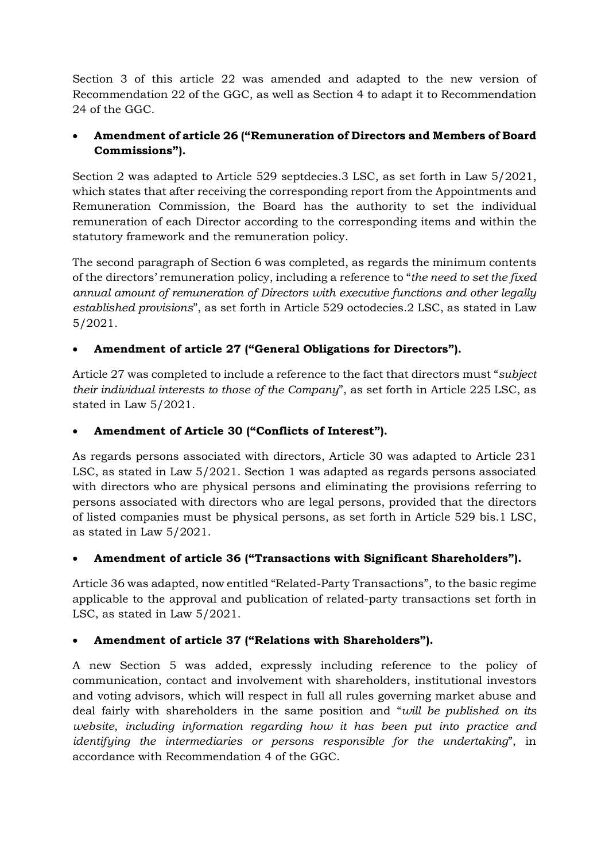Section 3 of this article 22 was amended and adapted to the new version of Recommendation 22 of the GGC, as well as Section 4 to adapt it to Recommendation 24 of the GGC.

# • **Amendment of article 26 ("Remuneration of Directors and Members of Board Commissions").**

Section 2 was adapted to Article 529 septdecies.3 LSC, as set forth in Law 5/2021, which states that after receiving the corresponding report from the Appointments and Remuneration Commission, the Board has the authority to set the individual remuneration of each Director according to the corresponding items and within the statutory framework and the remuneration policy.

The second paragraph of Section 6 was completed, as regards the minimum contents of the directors' remuneration policy, including a reference to "*the need to set the fixed annual amount of remuneration of Directors with executive functions and other legally established provisions*", as set forth in Article 529 octodecies.2 LSC, as stated in Law 5/2021.

# • **Amendment of article 27 ("General Obligations for Directors").**

Article 27 was completed to include a reference to the fact that directors must "*subject their individual interests to those of the Company*", as set forth in Article 225 LSC, as stated in Law 5/2021.

# • **Amendment of Article 30 ("Conflicts of Interest").**

As regards persons associated with directors, Article 30 was adapted to Article 231 LSC, as stated in Law 5/2021. Section 1 was adapted as regards persons associated with directors who are physical persons and eliminating the provisions referring to persons associated with directors who are legal persons, provided that the directors of listed companies must be physical persons, as set forth in Article 529 bis.1 LSC, as stated in Law 5/2021.

# • **Amendment of article 36 ("Transactions with Significant Shareholders").**

Article 36 was adapted, now entitled "Related-Party Transactions", to the basic regime applicable to the approval and publication of related-party transactions set forth in LSC, as stated in Law 5/2021.

# • **Amendment of article 37 ("Relations with Shareholders").**

A new Section 5 was added, expressly including reference to the policy of communication, contact and involvement with shareholders, institutional investors and voting advisors, which will respect in full all rules governing market abuse and deal fairly with shareholders in the same position and "*will be published on its website, including information regarding how it has been put into practice and identifying the intermediaries or persons responsible for the undertaking*", in accordance with Recommendation 4 of the GGC.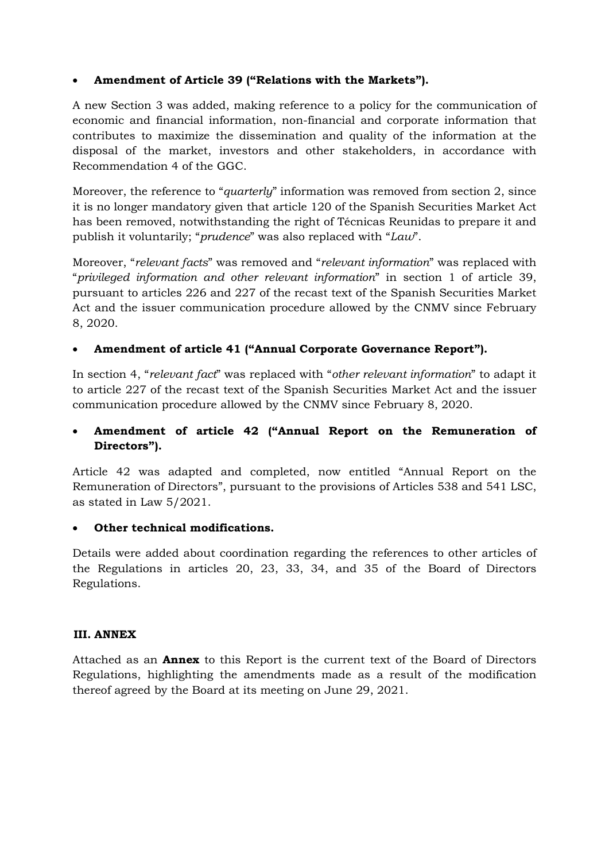#### • **Amendment of Article 39 ("Relations with the Markets").**

A new Section 3 was added, making reference to a policy for the communication of economic and financial information, non-financial and corporate information that contributes to maximize the dissemination and quality of the information at the disposal of the market, investors and other stakeholders, in accordance with Recommendation 4 of the GGC.

Moreover, the reference to "*quarterly*" information was removed from section 2, since it is no longer mandatory given that article 120 of the Spanish Securities Market Act has been removed, notwithstanding the right of Técnicas Reunidas to prepare it and publish it voluntarily; "*prudence*" was also replaced with "*Law*".

Moreover, "*relevant facts*" was removed and "*relevant information*" was replaced with "*privileged information and other relevant information*" in section 1 of article 39, pursuant to articles 226 and 227 of the recast text of the Spanish Securities Market Act and the issuer communication procedure allowed by the CNMV since February 8, 2020.

#### • **Amendment of article 41 ("Annual Corporate Governance Report").**

In section 4, "*relevant fact*" was replaced with "*other relevant information*" to adapt it to article 227 of the recast text of the Spanish Securities Market Act and the issuer communication procedure allowed by the CNMV since February 8, 2020.

#### • **Amendment of article 42 ("Annual Report on the Remuneration of Directors").**

Article 42 was adapted and completed, now entitled "Annual Report on the Remuneration of Directors", pursuant to the provisions of Articles 538 and 541 LSC, as stated in Law 5/2021.

#### • **Other technical modifications.**

Details were added about coordination regarding the references to other articles of the Regulations in articles 20, 23, 33, 34, and 35 of the Board of Directors Regulations.

#### **III. ANNEX**

Attached as an **Annex** to this Report is the current text of the Board of Directors Regulations, highlighting the amendments made as a result of the modification thereof agreed by the Board at its meeting on June 29, 2021.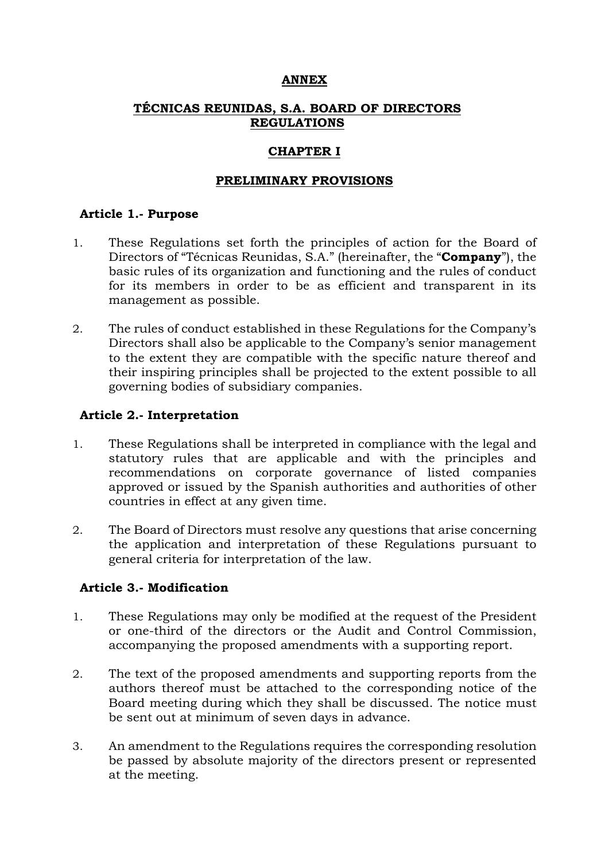#### **ANNEX**

# **TÉCNICAS REUNIDAS, S.A. BOARD OF DIRECTORS REGULATIONS**

# **CHAPTER I**

# **PRELIMINARY PROVISIONS**

### **Article 1.- Purpose**

- 1. These Regulations set forth the principles of action for the Board of Directors of "Técnicas Reunidas, S.A." (hereinafter, the "**Company**"), the basic rules of its organization and functioning and the rules of conduct for its members in order to be as efficient and transparent in its management as possible.
- 2. The rules of conduct established in these Regulations for the Company's Directors shall also be applicable to the Company's senior management to the extent they are compatible with the specific nature thereof and their inspiring principles shall be projected to the extent possible to all governing bodies of subsidiary companies.

# **Article 2.- Interpretation**

- 1. These Regulations shall be interpreted in compliance with the legal and statutory rules that are applicable and with the principles and recommendations on corporate governance of listed companies approved or issued by the Spanish authorities and authorities of other countries in effect at any given time.
- 2. The Board of Directors must resolve any questions that arise concerning the application and interpretation of these Regulations pursuant to general criteria for interpretation of the law.

#### **Article 3.- Modification**

- 1. These Regulations may only be modified at the request of the President or one-third of the directors or the Audit and Control Commission, accompanying the proposed amendments with a supporting report.
- 2. The text of the proposed amendments and supporting reports from the authors thereof must be attached to the corresponding notice of the Board meeting during which they shall be discussed. The notice must be sent out at minimum of seven days in advance.
- 3. An amendment to the Regulations requires the corresponding resolution be passed by absolute majority of the directors present or represented at the meeting.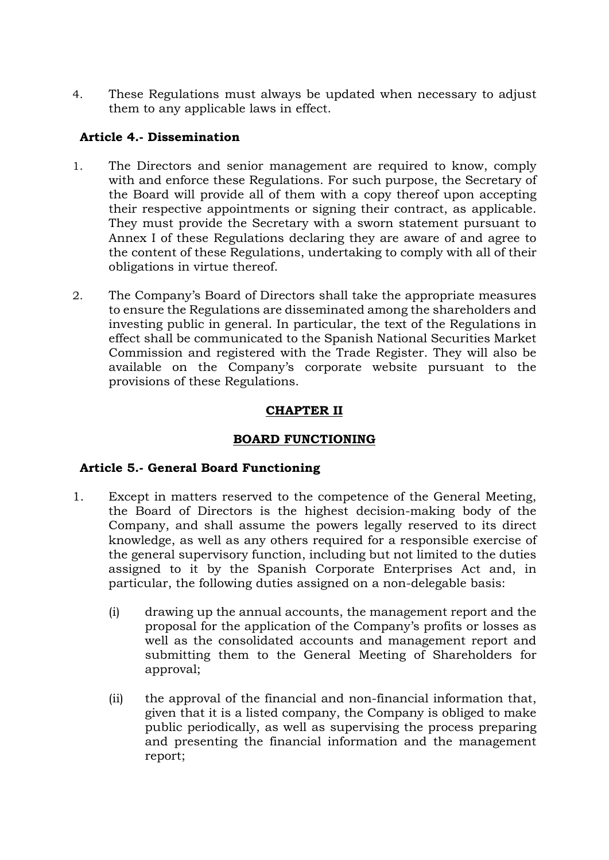4. These Regulations must always be updated when necessary to adjust them to any applicable laws in effect.

# **Article 4.- Dissemination**

- 1. The Directors and senior management are required to know, comply with and enforce these Regulations. For such purpose, the Secretary of the Board will provide all of them with a copy thereof upon accepting their respective appointments or signing their contract, as applicable. They must provide the Secretary with a sworn statement pursuant to Annex I of these Regulations declaring they are aware of and agree to the content of these Regulations, undertaking to comply with all of their obligations in virtue thereof.
- 2. The Company's Board of Directors shall take the appropriate measures to ensure the Regulations are disseminated among the shareholders and investing public in general. In particular, the text of the Regulations in effect shall be communicated to the Spanish National Securities Market Commission and registered with the Trade Register. They will also be available on the Company's corporate website pursuant to the provisions of these Regulations.

# **CHAPTER II**

# **BOARD FUNCTIONING**

# **Article 5.- General Board Functioning**

- 1. Except in matters reserved to the competence of the General Meeting, the Board of Directors is the highest decision-making body of the Company, and shall assume the powers legally reserved to its direct knowledge, as well as any others required for a responsible exercise of the general supervisory function, including but not limited to the duties assigned to it by the Spanish Corporate Enterprises Act and, in particular, the following duties assigned on a non-delegable basis:
	- (i) drawing up the annual accounts, the management report and the proposal for the application of the Company's profits or losses as well as the consolidated accounts and management report and submitting them to the General Meeting of Shareholders for approval;
	- (ii) the approval of the financial and non-financial information that, given that it is a listed company, the Company is obliged to make public periodically, as well as supervising the process preparing and presenting the financial information and the management report;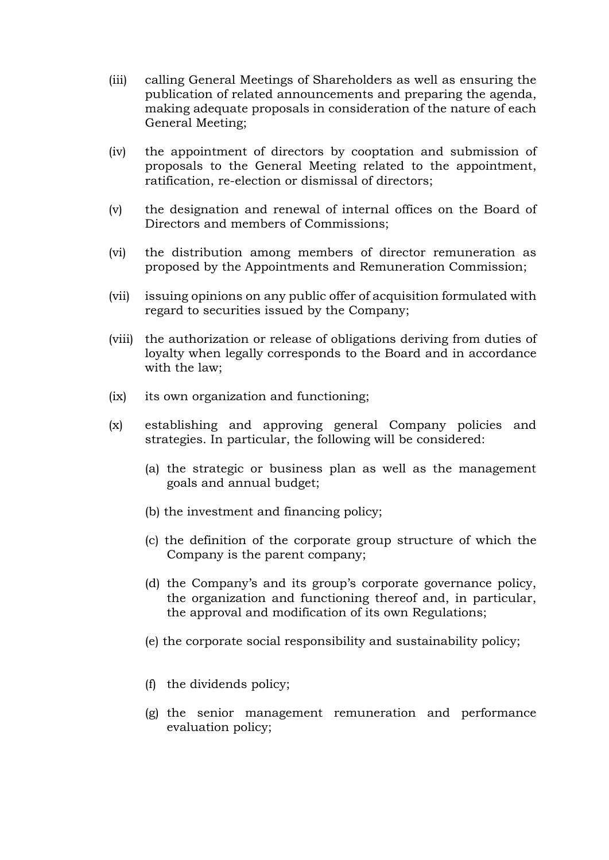- (iii) calling General Meetings of Shareholders as well as ensuring the publication of related announcements and preparing the agenda, making adequate proposals in consideration of the nature of each General Meeting;
- (iv) the appointment of directors by cooptation and submission of proposals to the General Meeting related to the appointment, ratification, re-election or dismissal of directors;
- (v) the designation and renewal of internal offices on the Board of Directors and members of Commissions;
- (vi) the distribution among members of director remuneration as proposed by the Appointments and Remuneration Commission;
- (vii) issuing opinions on any public offer of acquisition formulated with regard to securities issued by the Company;
- (viii) the authorization or release of obligations deriving from duties of loyalty when legally corresponds to the Board and in accordance with the law;
- (ix) its own organization and functioning;
- (x) establishing and approving general Company policies and strategies. In particular, the following will be considered:
	- (a) the strategic or business plan as well as the management goals and annual budget;
	- (b) the investment and financing policy;
	- (c) the definition of the corporate group structure of which the Company is the parent company;
	- (d) the Company's and its group's corporate governance policy, the organization and functioning thereof and, in particular, the approval and modification of its own Regulations;
	- (e) the corporate social responsibility and sustainability policy;
	- (f) the dividends policy;
	- (g) the senior management remuneration and performance evaluation policy;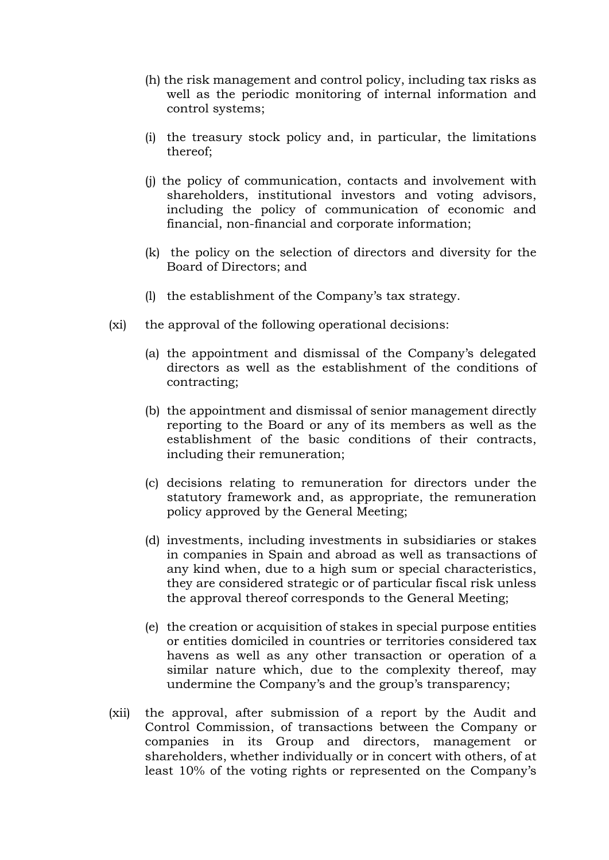- (h) the risk management and control policy, including tax risks as well as the periodic monitoring of internal information and control systems;
- (i) the treasury stock policy and, in particular, the limitations thereof;
- (j) the policy of communication, contacts and involvement with shareholders, institutional investors and voting advisors, including the policy of communication of economic and financial, non-financial and corporate information;
- (k) the policy on the selection of directors and diversity for the Board of Directors; and
- (l) the establishment of the Company's tax strategy.
- (xi) the approval of the following operational decisions:
	- (a) the appointment and dismissal of the Company's delegated directors as well as the establishment of the conditions of contracting;
	- (b) the appointment and dismissal of senior management directly reporting to the Board or any of its members as well as the establishment of the basic conditions of their contracts, including their remuneration;
	- (c) decisions relating to remuneration for directors under the statutory framework and, as appropriate, the remuneration policy approved by the General Meeting;
	- (d) investments, including investments in subsidiaries or stakes in companies in Spain and abroad as well as transactions of any kind when, due to a high sum or special characteristics, they are considered strategic or of particular fiscal risk unless the approval thereof corresponds to the General Meeting;
	- (e) the creation or acquisition of stakes in special purpose entities or entities domiciled in countries or territories considered tax havens as well as any other transaction or operation of a similar nature which, due to the complexity thereof, may undermine the Company's and the group's transparency;
- (xii) the approval, after submission of a report by the Audit and Control Commission, of transactions between the Company or companies in its Group and directors, management or shareholders, whether individually or in concert with others, of at least 10% of the voting rights or represented on the Company's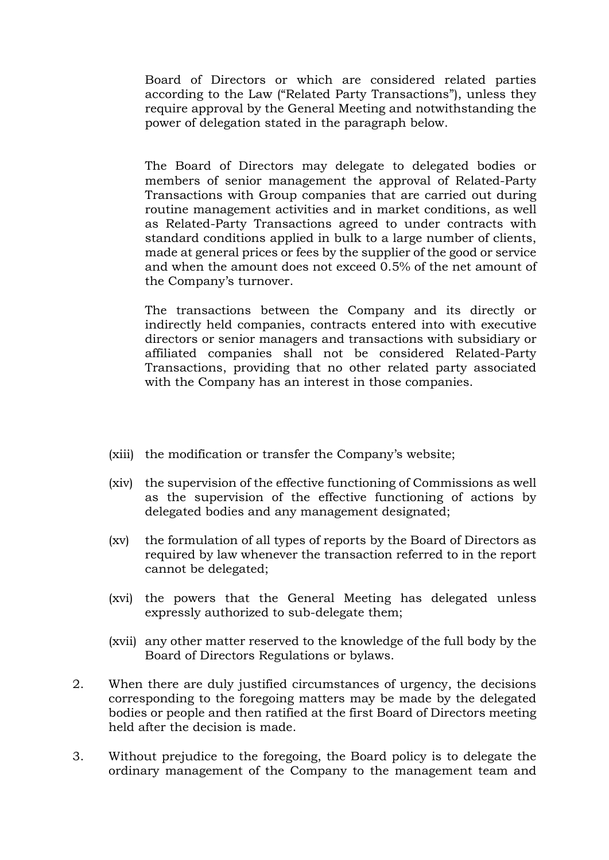Board of Directors or which are considered related parties according to the Law ("Related Party Transactions"), unless they require approval by the General Meeting and notwithstanding the power of delegation stated in the paragraph below.

The Board of Directors may delegate to delegated bodies or members of senior management the approval of Related-Party Transactions with Group companies that are carried out during routine management activities and in market conditions, as well as Related-Party Transactions agreed to under contracts with standard conditions applied in bulk to a large number of clients, made at general prices or fees by the supplier of the good or service and when the amount does not exceed 0.5% of the net amount of the Company's turnover.

The transactions between the Company and its directly or indirectly held companies, contracts entered into with executive directors or senior managers and transactions with subsidiary or affiliated companies shall not be considered Related-Party Transactions, providing that no other related party associated with the Company has an interest in those companies.

- (xiii) the modification or transfer the Company's website;
- (xiv) the supervision of the effective functioning of Commissions as well as the supervision of the effective functioning of actions by delegated bodies and any management designated;
- (xv) the formulation of all types of reports by the Board of Directors as required by law whenever the transaction referred to in the report cannot be delegated;
- (xvi) the powers that the General Meeting has delegated unless expressly authorized to sub-delegate them;
- (xvii) any other matter reserved to the knowledge of the full body by the Board of Directors Regulations or bylaws.
- 2. When there are duly justified circumstances of urgency, the decisions corresponding to the foregoing matters may be made by the delegated bodies or people and then ratified at the first Board of Directors meeting held after the decision is made.
- 3. Without prejudice to the foregoing, the Board policy is to delegate the ordinary management of the Company to the management team and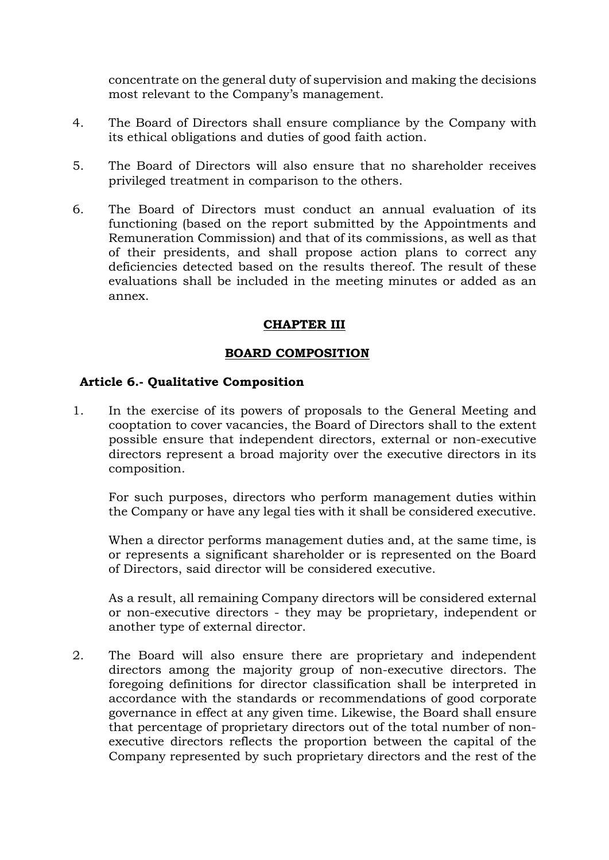concentrate on the general duty of supervision and making the decisions most relevant to the Company's management.

- 4. The Board of Directors shall ensure compliance by the Company with its ethical obligations and duties of good faith action.
- 5. The Board of Directors will also ensure that no shareholder receives privileged treatment in comparison to the others.
- 6. The Board of Directors must conduct an annual evaluation of its functioning (based on the report submitted by the Appointments and Remuneration Commission) and that of its commissions, as well as that of their presidents, and shall propose action plans to correct any deficiencies detected based on the results thereof. The result of these evaluations shall be included in the meeting minutes or added as an annex.

# **CHAPTER III**

#### **BOARD COMPOSITION**

#### **Article 6.- Qualitative Composition**

1. In the exercise of its powers of proposals to the General Meeting and cooptation to cover vacancies, the Board of Directors shall to the extent possible ensure that independent directors, external or non-executive directors represent a broad majority over the executive directors in its composition.

For such purposes, directors who perform management duties within the Company or have any legal ties with it shall be considered executive.

When a director performs management duties and, at the same time, is or represents a significant shareholder or is represented on the Board of Directors, said director will be considered executive.

As a result, all remaining Company directors will be considered external or non-executive directors - they may be proprietary, independent or another type of external director.

2. The Board will also ensure there are proprietary and independent directors among the majority group of non-executive directors. The foregoing definitions for director classification shall be interpreted in accordance with the standards or recommendations of good corporate governance in effect at any given time. Likewise, the Board shall ensure that percentage of proprietary directors out of the total number of nonexecutive directors reflects the proportion between the capital of the Company represented by such proprietary directors and the rest of the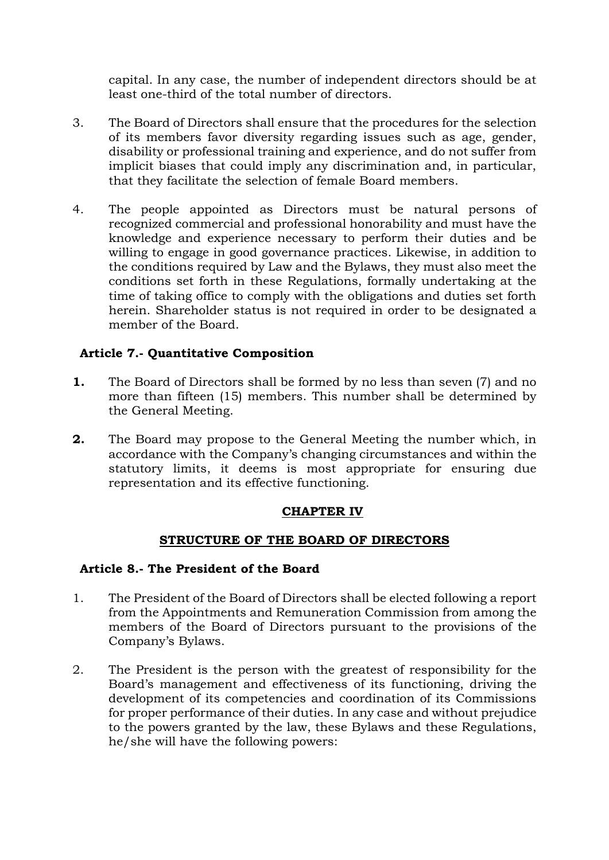capital. In any case, the number of independent directors should be at least one-third of the total number of directors.

- 3. The Board of Directors shall ensure that the procedures for the selection of its members favor diversity regarding issues such as age, gender, disability or professional training and experience, and do not suffer from implicit biases that could imply any discrimination and, in particular, that they facilitate the selection of female Board members.
- 4. The people appointed as Directors must be natural persons of recognized commercial and professional honorability and must have the knowledge and experience necessary to perform their duties and be willing to engage in good governance practices. Likewise, in addition to the conditions required by Law and the Bylaws, they must also meet the conditions set forth in these Regulations, formally undertaking at the time of taking office to comply with the obligations and duties set forth herein. Shareholder status is not required in order to be designated a member of the Board.

# **Article 7.- Quantitative Composition**

- **1.** The Board of Directors shall be formed by no less than seven (7) and no more than fifteen (15) members. This number shall be determined by the General Meeting.
- **2.** The Board may propose to the General Meeting the number which, in accordance with the Company's changing circumstances and within the statutory limits, it deems is most appropriate for ensuring due representation and its effective functioning.

#### **CHAPTER IV**

#### **STRUCTURE OF THE BOARD OF DIRECTORS**

#### **Article 8.- The President of the Board**

- 1. The President of the Board of Directors shall be elected following a report from the Appointments and Remuneration Commission from among the members of the Board of Directors pursuant to the provisions of the Company's Bylaws.
- 2. The President is the person with the greatest of responsibility for the Board's management and effectiveness of its functioning, driving the development of its competencies and coordination of its Commissions for proper performance of their duties. In any case and without prejudice to the powers granted by the law, these Bylaws and these Regulations, he/she will have the following powers: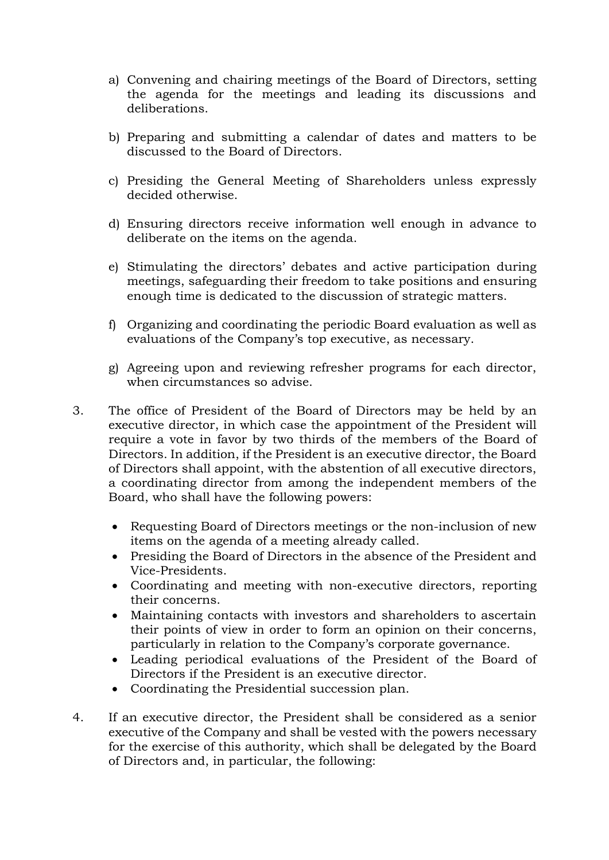- a) Convening and chairing meetings of the Board of Directors, setting the agenda for the meetings and leading its discussions and deliberations.
- b) Preparing and submitting a calendar of dates and matters to be discussed to the Board of Directors.
- c) Presiding the General Meeting of Shareholders unless expressly decided otherwise.
- d) Ensuring directors receive information well enough in advance to deliberate on the items on the agenda.
- e) Stimulating the directors' debates and active participation during meetings, safeguarding their freedom to take positions and ensuring enough time is dedicated to the discussion of strategic matters.
- f) Organizing and coordinating the periodic Board evaluation as well as evaluations of the Company's top executive, as necessary.
- g) Agreeing upon and reviewing refresher programs for each director, when circumstances so advise.
- 3. The office of President of the Board of Directors may be held by an executive director, in which case the appointment of the President will require a vote in favor by two thirds of the members of the Board of Directors. In addition, if the President is an executive director, the Board of Directors shall appoint, with the abstention of all executive directors, a coordinating director from among the independent members of the Board, who shall have the following powers:
	- Requesting Board of Directors meetings or the non-inclusion of new items on the agenda of a meeting already called.
	- Presiding the Board of Directors in the absence of the President and Vice-Presidents.
	- Coordinating and meeting with non-executive directors, reporting their concerns.
	- Maintaining contacts with investors and shareholders to ascertain their points of view in order to form an opinion on their concerns, particularly in relation to the Company's corporate governance.
	- Leading periodical evaluations of the President of the Board of Directors if the President is an executive director.
	- Coordinating the Presidential succession plan.
- 4. If an executive director, the President shall be considered as a senior executive of the Company and shall be vested with the powers necessary for the exercise of this authority, which shall be delegated by the Board of Directors and, in particular, the following: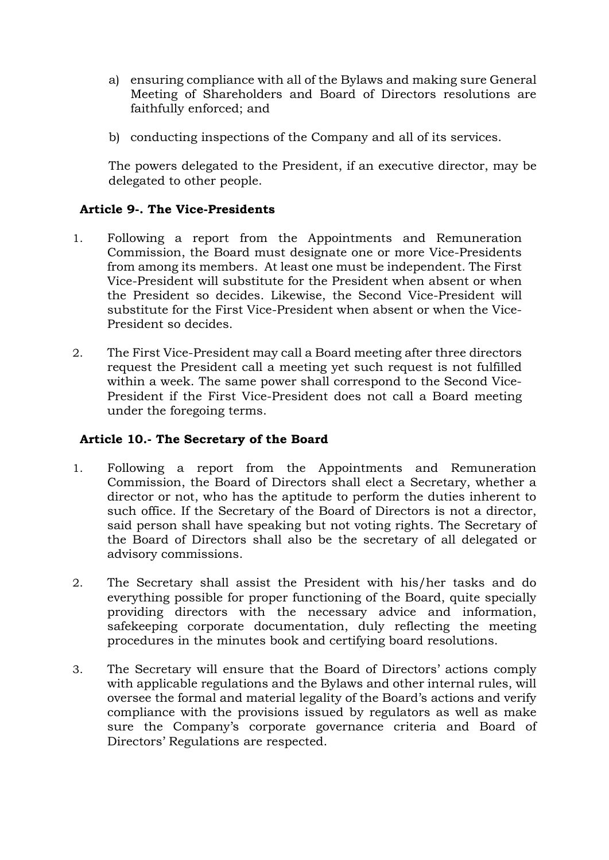- a) ensuring compliance with all of the Bylaws and making sure General Meeting of Shareholders and Board of Directors resolutions are faithfully enforced; and
- b) conducting inspections of the Company and all of its services.

The powers delegated to the President, if an executive director, may be delegated to other people.

# **Article 9-. The Vice-Presidents**

- 1. Following a report from the Appointments and Remuneration Commission, the Board must designate one or more Vice-Presidents from among its members. At least one must be independent. The First Vice-President will substitute for the President when absent or when the President so decides. Likewise, the Second Vice-President will substitute for the First Vice-President when absent or when the Vice-President so decides.
- 2. The First Vice-President may call a Board meeting after three directors request the President call a meeting yet such request is not fulfilled within a week. The same power shall correspond to the Second Vice-President if the First Vice-President does not call a Board meeting under the foregoing terms.

#### **Article 10.- The Secretary of the Board**

- 1. Following a report from the Appointments and Remuneration Commission, the Board of Directors shall elect a Secretary, whether a director or not, who has the aptitude to perform the duties inherent to such office. If the Secretary of the Board of Directors is not a director, said person shall have speaking but not voting rights. The Secretary of the Board of Directors shall also be the secretary of all delegated or advisory commissions.
- 2. The Secretary shall assist the President with his/her tasks and do everything possible for proper functioning of the Board, quite specially providing directors with the necessary advice and information, safekeeping corporate documentation, duly reflecting the meeting procedures in the minutes book and certifying board resolutions.
- 3. The Secretary will ensure that the Board of Directors' actions comply with applicable regulations and the Bylaws and other internal rules, will oversee the formal and material legality of the Board's actions and verify compliance with the provisions issued by regulators as well as make sure the Company's corporate governance criteria and Board of Directors' Regulations are respected.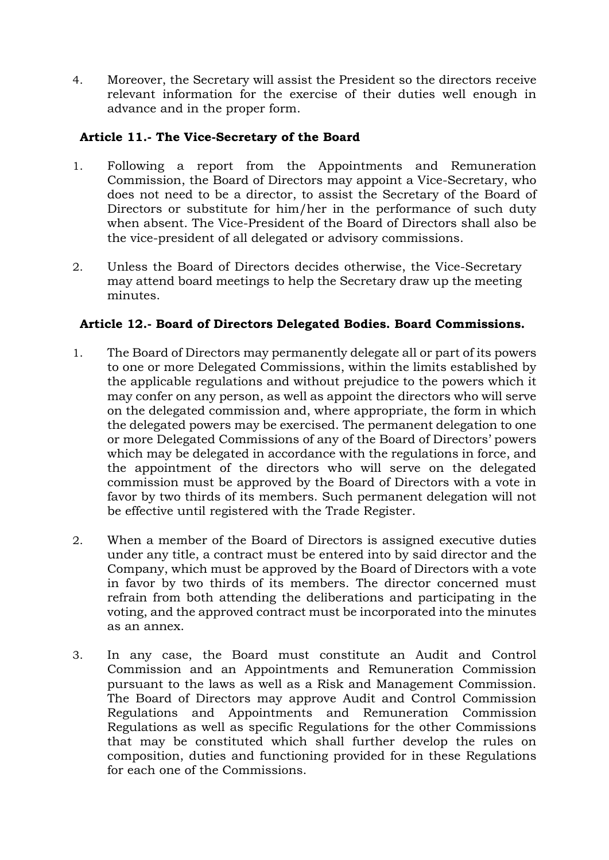4. Moreover, the Secretary will assist the President so the directors receive relevant information for the exercise of their duties well enough in advance and in the proper form.

# **Article 11.- The Vice-Secretary of the Board**

- 1. Following a report from the Appointments and Remuneration Commission, the Board of Directors may appoint a Vice-Secretary, who does not need to be a director, to assist the Secretary of the Board of Directors or substitute for him/her in the performance of such duty when absent. The Vice-President of the Board of Directors shall also be the vice-president of all delegated or advisory commissions.
- 2. Unless the Board of Directors decides otherwise, the Vice-Secretary may attend board meetings to help the Secretary draw up the meeting minutes.

# **Article 12.- Board of Directors Delegated Bodies. Board Commissions.**

- 1. The Board of Directors may permanently delegate all or part of its powers to one or more Delegated Commissions, within the limits established by the applicable regulations and without prejudice to the powers which it may confer on any person, as well as appoint the directors who will serve on the delegated commission and, where appropriate, the form in which the delegated powers may be exercised. The permanent delegation to one or more Delegated Commissions of any of the Board of Directors' powers which may be delegated in accordance with the regulations in force, and the appointment of the directors who will serve on the delegated commission must be approved by the Board of Directors with a vote in favor by two thirds of its members. Such permanent delegation will not be effective until registered with the Trade Register.
- 2. When a member of the Board of Directors is assigned executive duties under any title, a contract must be entered into by said director and the Company, which must be approved by the Board of Directors with a vote in favor by two thirds of its members. The director concerned must refrain from both attending the deliberations and participating in the voting, and the approved contract must be incorporated into the minutes as an annex.
- 3. In any case, the Board must constitute an Audit and Control Commission and an Appointments and Remuneration Commission pursuant to the laws as well as a Risk and Management Commission. The Board of Directors may approve Audit and Control Commission Regulations and Appointments and Remuneration Commission Regulations as well as specific Regulations for the other Commissions that may be constituted which shall further develop the rules on composition, duties and functioning provided for in these Regulations for each one of the Commissions.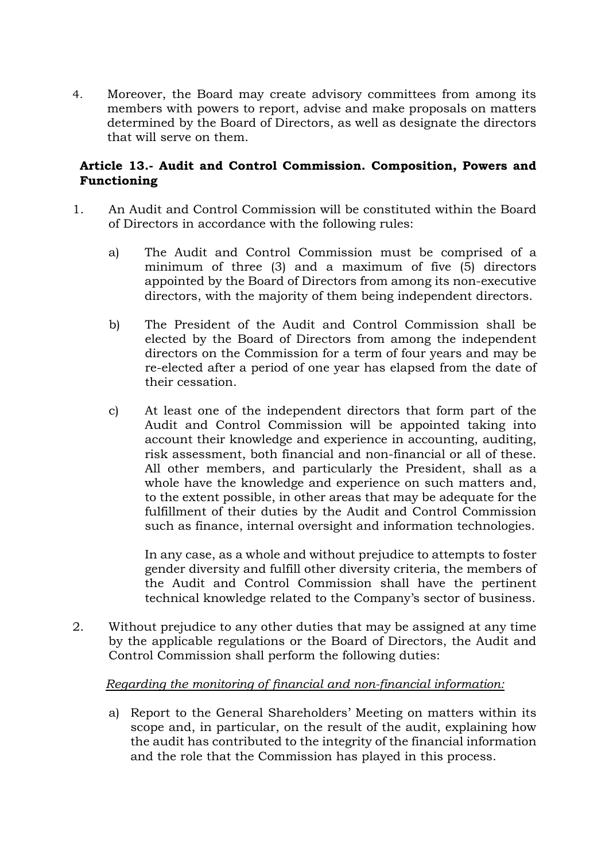4. Moreover, the Board may create advisory committees from among its members with powers to report, advise and make proposals on matters determined by the Board of Directors, as well as designate the directors that will serve on them.

# **Article 13.- Audit and Control Commission. Composition, Powers and Functioning**

- 1. An Audit and Control Commission will be constituted within the Board of Directors in accordance with the following rules:
	- a) The Audit and Control Commission must be comprised of a minimum of three (3) and a maximum of five (5) directors appointed by the Board of Directors from among its non-executive directors, with the majority of them being independent directors.
	- b) The President of the Audit and Control Commission shall be elected by the Board of Directors from among the independent directors on the Commission for a term of four years and may be re-elected after a period of one year has elapsed from the date of their cessation.
	- c) At least one of the independent directors that form part of the Audit and Control Commission will be appointed taking into account their knowledge and experience in accounting, auditing, risk assessment, both financial and non-financial or all of these. All other members, and particularly the President, shall as a whole have the knowledge and experience on such matters and, to the extent possible, in other areas that may be adequate for the fulfillment of their duties by the Audit and Control Commission such as finance, internal oversight and information technologies.

In any case, as a whole and without prejudice to attempts to foster gender diversity and fulfill other diversity criteria, the members of the Audit and Control Commission shall have the pertinent technical knowledge related to the Company's sector of business.

2. Without prejudice to any other duties that may be assigned at any time by the applicable regulations or the Board of Directors, the Audit and Control Commission shall perform the following duties:

#### *Regarding the monitoring of financial and non-financial information:*

a) Report to the General Shareholders' Meeting on matters within its scope and, in particular, on the result of the audit, explaining how the audit has contributed to the integrity of the financial information and the role that the Commission has played in this process.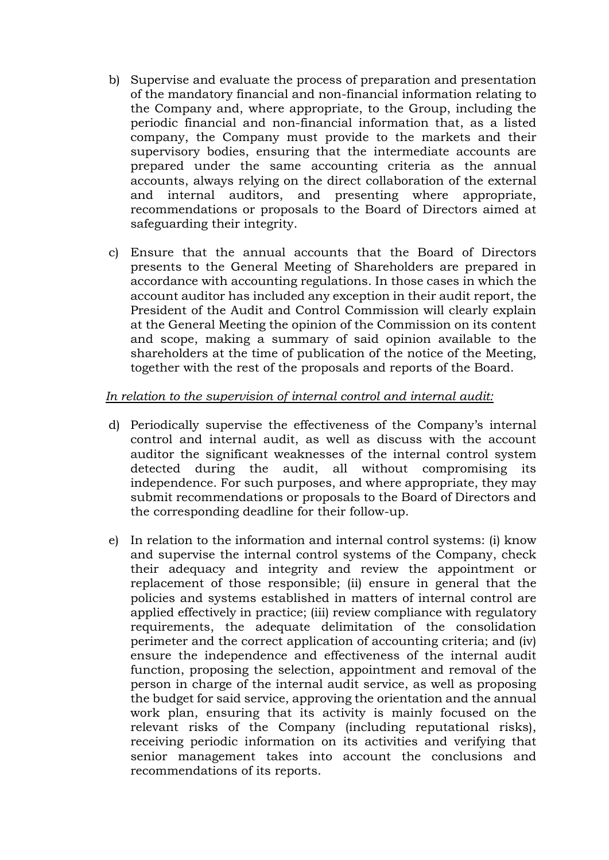- b) Supervise and evaluate the process of preparation and presentation of the mandatory financial and non-financial information relating to the Company and, where appropriate, to the Group, including the periodic financial and non-financial information that, as a listed company, the Company must provide to the markets and their supervisory bodies, ensuring that the intermediate accounts are prepared under the same accounting criteria as the annual accounts, always relying on the direct collaboration of the external and internal auditors, and presenting where appropriate, recommendations or proposals to the Board of Directors aimed at safeguarding their integrity.
- c) Ensure that the annual accounts that the Board of Directors presents to the General Meeting of Shareholders are prepared in accordance with accounting regulations. In those cases in which the account auditor has included any exception in their audit report, the President of the Audit and Control Commission will clearly explain at the General Meeting the opinion of the Commission on its content and scope, making a summary of said opinion available to the shareholders at the time of publication of the notice of the Meeting, together with the rest of the proposals and reports of the Board.

# *In relation to the supervision of internal control and internal audit:*

- d) Periodically supervise the effectiveness of the Company's internal control and internal audit, as well as discuss with the account auditor the significant weaknesses of the internal control system detected during the audit, all without compromising its independence. For such purposes, and where appropriate, they may submit recommendations or proposals to the Board of Directors and the corresponding deadline for their follow-up.
- e) In relation to the information and internal control systems: (i) know and supervise the internal control systems of the Company, check their adequacy and integrity and review the appointment or replacement of those responsible; (ii) ensure in general that the policies and systems established in matters of internal control are applied effectively in practice; (iii) review compliance with regulatory requirements, the adequate delimitation of the consolidation perimeter and the correct application of accounting criteria; and (iv) ensure the independence and effectiveness of the internal audit function, proposing the selection, appointment and removal of the person in charge of the internal audit service, as well as proposing the budget for said service, approving the orientation and the annual work plan, ensuring that its activity is mainly focused on the relevant risks of the Company (including reputational risks), receiving periodic information on its activities and verifying that senior management takes into account the conclusions and recommendations of its reports.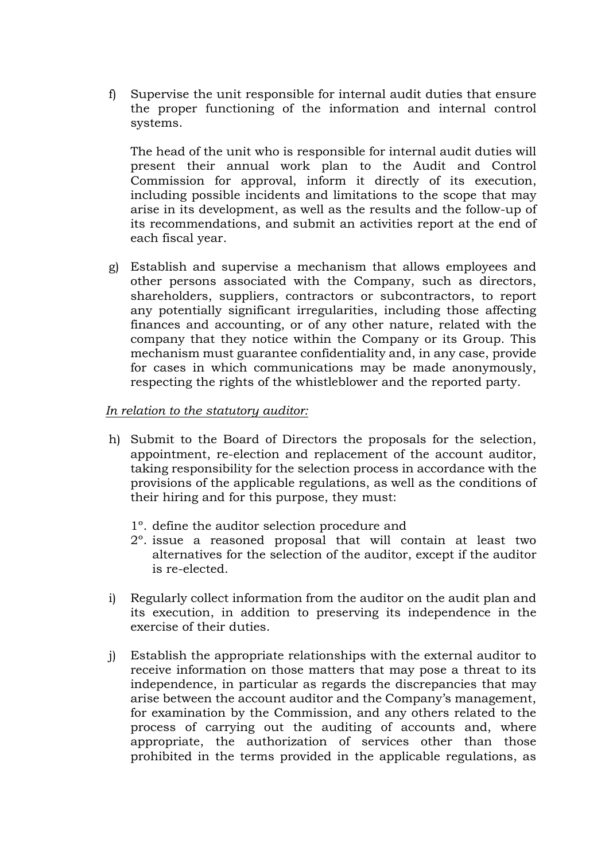f) Supervise the unit responsible for internal audit duties that ensure the proper functioning of the information and internal control systems.

The head of the unit who is responsible for internal audit duties will present their annual work plan to the Audit and Control Commission for approval, inform it directly of its execution, including possible incidents and limitations to the scope that may arise in its development, as well as the results and the follow-up of its recommendations, and submit an activities report at the end of each fiscal year.

g) Establish and supervise a mechanism that allows employees and other persons associated with the Company, such as directors, shareholders, suppliers, contractors or subcontractors, to report any potentially significant irregularities, including those affecting finances and accounting, or of any other nature, related with the company that they notice within the Company or its Group. This mechanism must guarantee confidentiality and, in any case, provide for cases in which communications may be made anonymously, respecting the rights of the whistleblower and the reported party.

#### *In relation to the statutory auditor:*

- h) Submit to the Board of Directors the proposals for the selection, appointment, re-election and replacement of the account auditor, taking responsibility for the selection process in accordance with the provisions of the applicable regulations, as well as the conditions of their hiring and for this purpose, they must:
	- 1º. define the auditor selection procedure and
	- 2º. issue a reasoned proposal that will contain at least two alternatives for the selection of the auditor, except if the auditor is re-elected.
- i) Regularly collect information from the auditor on the audit plan and its execution, in addition to preserving its independence in the exercise of their duties.
- j) Establish the appropriate relationships with the external auditor to receive information on those matters that may pose a threat to its independence, in particular as regards the discrepancies that may arise between the account auditor and the Company's management, for examination by the Commission, and any others related to the process of carrying out the auditing of accounts and, where appropriate, the authorization of services other than those prohibited in the terms provided in the applicable regulations, as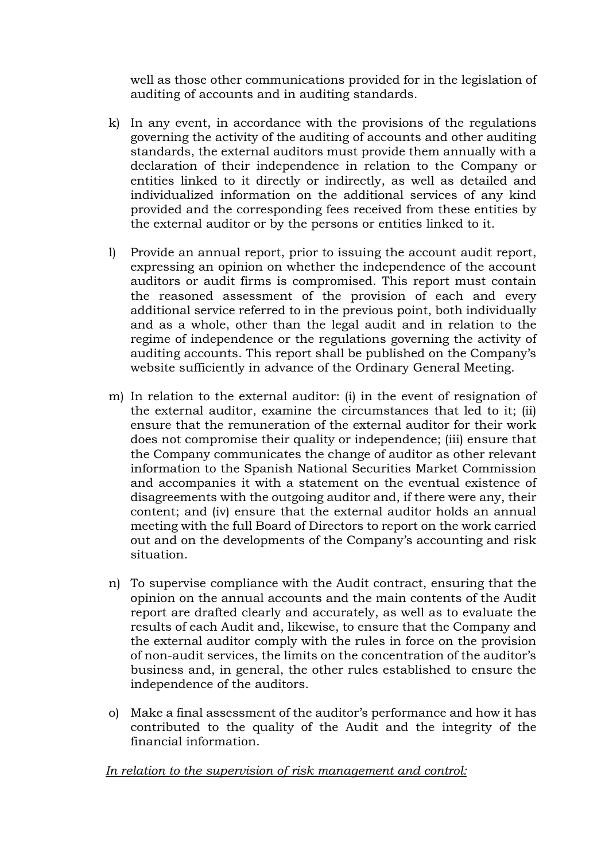well as those other communications provided for in the legislation of auditing of accounts and in auditing standards.

- k) In any event, in accordance with the provisions of the regulations governing the activity of the auditing of accounts and other auditing standards, the external auditors must provide them annually with a declaration of their independence in relation to the Company or entities linked to it directly or indirectly, as well as detailed and individualized information on the additional services of any kind provided and the corresponding fees received from these entities by the external auditor or by the persons or entities linked to it.
- l) Provide an annual report, prior to issuing the account audit report, expressing an opinion on whether the independence of the account auditors or audit firms is compromised. This report must contain the reasoned assessment of the provision of each and every additional service referred to in the previous point, both individually and as a whole, other than the legal audit and in relation to the regime of independence or the regulations governing the activity of auditing accounts. This report shall be published on the Company's website sufficiently in advance of the Ordinary General Meeting.
- m) In relation to the external auditor: (i) in the event of resignation of the external auditor, examine the circumstances that led to it; (ii) ensure that the remuneration of the external auditor for their work does not compromise their quality or independence; (iii) ensure that the Company communicates the change of auditor as other relevant information to the Spanish National Securities Market Commission and accompanies it with a statement on the eventual existence of disagreements with the outgoing auditor and, if there were any, their content; and (iv) ensure that the external auditor holds an annual meeting with the full Board of Directors to report on the work carried out and on the developments of the Company's accounting and risk situation.
- n) To supervise compliance with the Audit contract, ensuring that the opinion on the annual accounts and the main contents of the Audit report are drafted clearly and accurately, as well as to evaluate the results of each Audit and, likewise, to ensure that the Company and the external auditor comply with the rules in force on the provision of non-audit services, the limits on the concentration of the auditor's business and, in general, the other rules established to ensure the independence of the auditors.
- o) Make a final assessment of the auditor's performance and how it has contributed to the quality of the Audit and the integrity of the financial information.

#### *In relation to the supervision of risk management and control:*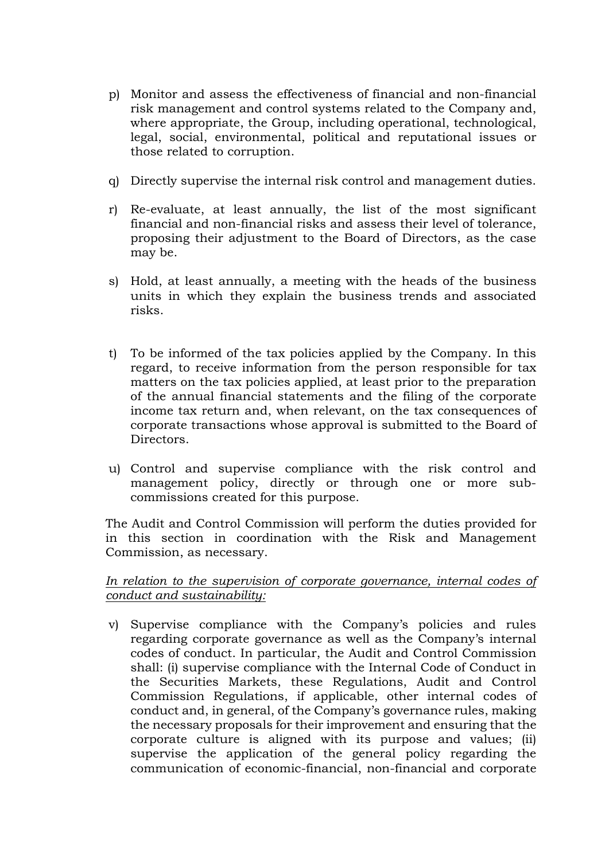- p) Monitor and assess the effectiveness of financial and non-financial risk management and control systems related to the Company and, where appropriate, the Group, including operational, technological, legal, social, environmental, political and reputational issues or those related to corruption.
- q) Directly supervise the internal risk control and management duties.
- r) Re-evaluate, at least annually, the list of the most significant financial and non-financial risks and assess their level of tolerance, proposing their adjustment to the Board of Directors, as the case may be.
- s) Hold, at least annually, a meeting with the heads of the business units in which they explain the business trends and associated risks.
- t) To be informed of the tax policies applied by the Company. In this regard, to receive information from the person responsible for tax matters on the tax policies applied, at least prior to the preparation of the annual financial statements and the filing of the corporate income tax return and, when relevant, on the tax consequences of corporate transactions whose approval is submitted to the Board of Directors.
- u) Control and supervise compliance with the risk control and management policy, directly or through one or more subcommissions created for this purpose.

The Audit and Control Commission will perform the duties provided for in this section in coordination with the Risk and Management Commission, as necessary.

#### *In relation to the supervision of corporate governance, internal codes of conduct and sustainability:*

v) Supervise compliance with the Company's policies and rules regarding corporate governance as well as the Company's internal codes of conduct. In particular, the Audit and Control Commission shall: (i) supervise compliance with the Internal Code of Conduct in the Securities Markets, these Regulations, Audit and Control Commission Regulations, if applicable, other internal codes of conduct and, in general, of the Company's governance rules, making the necessary proposals for their improvement and ensuring that the corporate culture is aligned with its purpose and values; (ii) supervise the application of the general policy regarding the communication of economic-financial, non-financial and corporate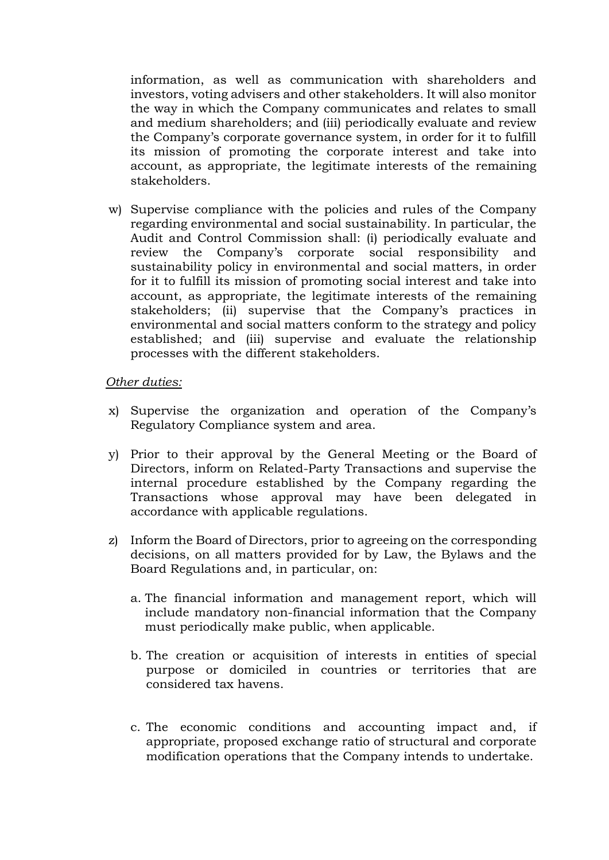information, as well as communication with shareholders and investors, voting advisers and other stakeholders. It will also monitor the way in which the Company communicates and relates to small and medium shareholders; and (iii) periodically evaluate and review the Company's corporate governance system, in order for it to fulfill its mission of promoting the corporate interest and take into account, as appropriate, the legitimate interests of the remaining stakeholders.

w) Supervise compliance with the policies and rules of the Company regarding environmental and social sustainability. In particular, the Audit and Control Commission shall: (i) periodically evaluate and review the Company's corporate social responsibility and sustainability policy in environmental and social matters, in order for it to fulfill its mission of promoting social interest and take into account, as appropriate, the legitimate interests of the remaining stakeholders; (ii) supervise that the Company's practices in environmental and social matters conform to the strategy and policy established; and (iii) supervise and evaluate the relationship processes with the different stakeholders.

#### *Other duties:*

- x) Supervise the organization and operation of the Company's Regulatory Compliance system and area.
- y) Prior to their approval by the General Meeting or the Board of Directors, inform on Related-Party Transactions and supervise the internal procedure established by the Company regarding the Transactions whose approval may have been delegated in accordance with applicable regulations.
- z) Inform the Board of Directors, prior to agreeing on the corresponding decisions, on all matters provided for by Law, the Bylaws and the Board Regulations and, in particular, on:
	- a. The financial information and management report, which will include mandatory non-financial information that the Company must periodically make public, when applicable.
	- b. The creation or acquisition of interests in entities of special purpose or domiciled in countries or territories that are considered tax havens.
	- c. The economic conditions and accounting impact and, if appropriate, proposed exchange ratio of structural and corporate modification operations that the Company intends to undertake.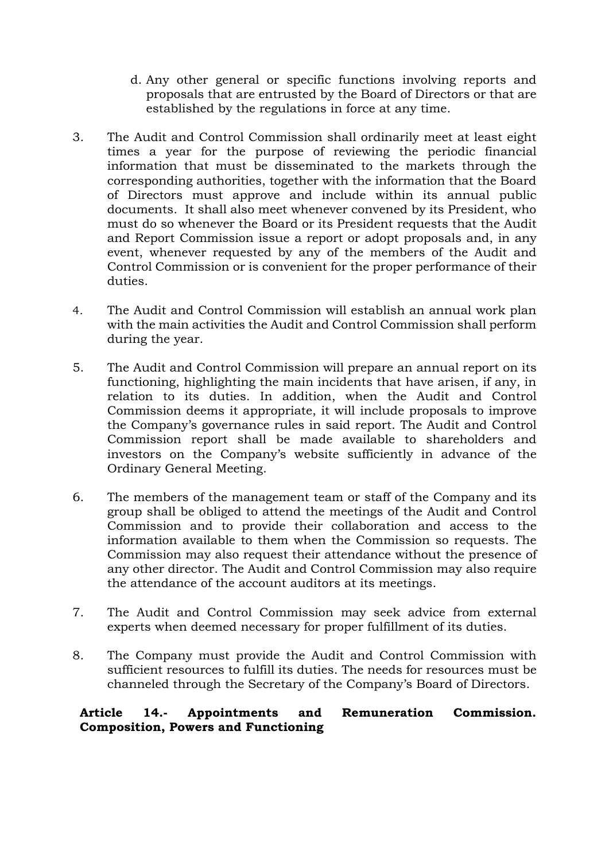- d. Any other general or specific functions involving reports and proposals that are entrusted by the Board of Directors or that are established by the regulations in force at any time.
- 3. The Audit and Control Commission shall ordinarily meet at least eight times a year for the purpose of reviewing the periodic financial information that must be disseminated to the markets through the corresponding authorities, together with the information that the Board of Directors must approve and include within its annual public documents. It shall also meet whenever convened by its President, who must do so whenever the Board or its President requests that the Audit and Report Commission issue a report or adopt proposals and, in any event, whenever requested by any of the members of the Audit and Control Commission or is convenient for the proper performance of their duties.
- 4. The Audit and Control Commission will establish an annual work plan with the main activities the Audit and Control Commission shall perform during the year.
- 5. The Audit and Control Commission will prepare an annual report on its functioning, highlighting the main incidents that have arisen, if any, in relation to its duties. In addition, when the Audit and Control Commission deems it appropriate, it will include proposals to improve the Company's governance rules in said report. The Audit and Control Commission report shall be made available to shareholders and investors on the Company's website sufficiently in advance of the Ordinary General Meeting.
- 6. The members of the management team or staff of the Company and its group shall be obliged to attend the meetings of the Audit and Control Commission and to provide their collaboration and access to the information available to them when the Commission so requests. The Commission may also request their attendance without the presence of any other director. The Audit and Control Commission may also require the attendance of the account auditors at its meetings.
- 7. The Audit and Control Commission may seek advice from external experts when deemed necessary for proper fulfillment of its duties.
- 8. The Company must provide the Audit and Control Commission with sufficient resources to fulfill its duties. The needs for resources must be channeled through the Secretary of the Company's Board of Directors.

# **Article 14.- Appointments and Remuneration Commission. Composition, Powers and Functioning**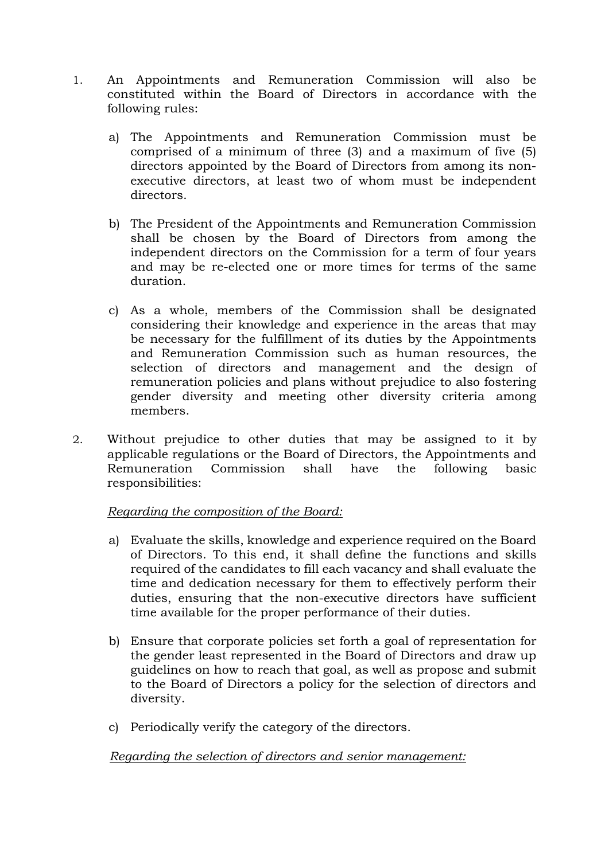- 1. An Appointments and Remuneration Commission will also be constituted within the Board of Directors in accordance with the following rules:
	- a) The Appointments and Remuneration Commission must be comprised of a minimum of three (3) and a maximum of five (5) directors appointed by the Board of Directors from among its nonexecutive directors, at least two of whom must be independent directors.
	- b) The President of the Appointments and Remuneration Commission shall be chosen by the Board of Directors from among the independent directors on the Commission for a term of four years and may be re-elected one or more times for terms of the same duration.
	- c) As a whole, members of the Commission shall be designated considering their knowledge and experience in the areas that may be necessary for the fulfillment of its duties by the Appointments and Remuneration Commission such as human resources, the selection of directors and management and the design of remuneration policies and plans without prejudice to also fostering gender diversity and meeting other diversity criteria among members.
- 2. Without prejudice to other duties that may be assigned to it by applicable regulations or the Board of Directors, the Appointments and Remuneration Commission shall have the following basic responsibilities:

#### *Regarding the composition of the Board:*

- a) Evaluate the skills, knowledge and experience required on the Board of Directors. To this end, it shall define the functions and skills required of the candidates to fill each vacancy and shall evaluate the time and dedication necessary for them to effectively perform their duties, ensuring that the non-executive directors have sufficient time available for the proper performance of their duties.
- b) Ensure that corporate policies set forth a goal of representation for the gender least represented in the Board of Directors and draw up guidelines on how to reach that goal, as well as propose and submit to the Board of Directors a policy for the selection of directors and diversity.
- c) Periodically verify the category of the directors.

# *Regarding the selection of directors and senior management:*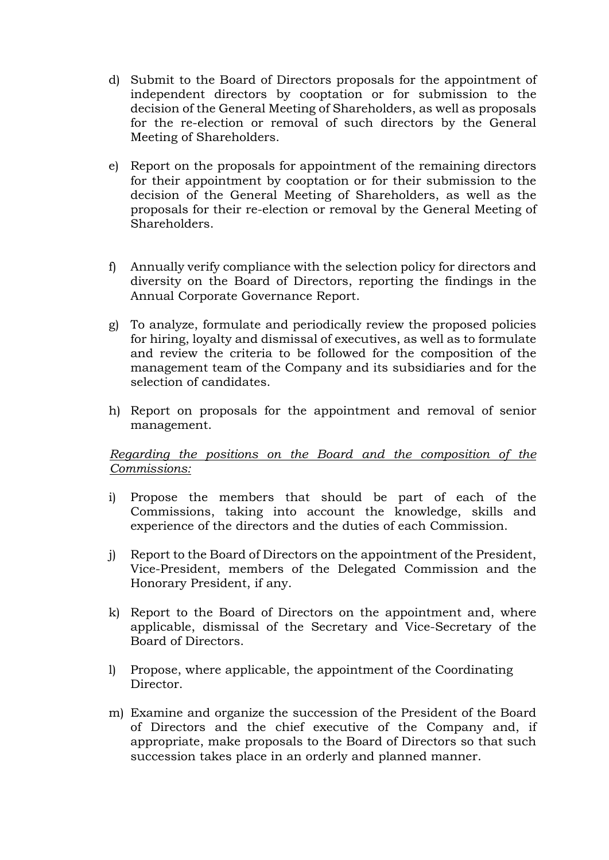- d) Submit to the Board of Directors proposals for the appointment of independent directors by cooptation or for submission to the decision of the General Meeting of Shareholders, as well as proposals for the re-election or removal of such directors by the General Meeting of Shareholders.
- e) Report on the proposals for appointment of the remaining directors for their appointment by cooptation or for their submission to the decision of the General Meeting of Shareholders, as well as the proposals for their re-election or removal by the General Meeting of Shareholders.
- f) Annually verify compliance with the selection policy for directors and diversity on the Board of Directors, reporting the findings in the Annual Corporate Governance Report.
- g) To analyze, formulate and periodically review the proposed policies for hiring, loyalty and dismissal of executives, as well as to formulate and review the criteria to be followed for the composition of the management team of the Company and its subsidiaries and for the selection of candidates.
- h) Report on proposals for the appointment and removal of senior management.

# *Regarding the positions on the Board and the composition of the Commissions:*

- i) Propose the members that should be part of each of the Commissions, taking into account the knowledge, skills and experience of the directors and the duties of each Commission.
- j) Report to the Board of Directors on the appointment of the President, Vice-President, members of the Delegated Commission and the Honorary President, if any.
- k) Report to the Board of Directors on the appointment and, where applicable, dismissal of the Secretary and Vice-Secretary of the Board of Directors.
- l) Propose, where applicable, the appointment of the Coordinating Director.
- m) Examine and organize the succession of the President of the Board of Directors and the chief executive of the Company and, if appropriate, make proposals to the Board of Directors so that such succession takes place in an orderly and planned manner.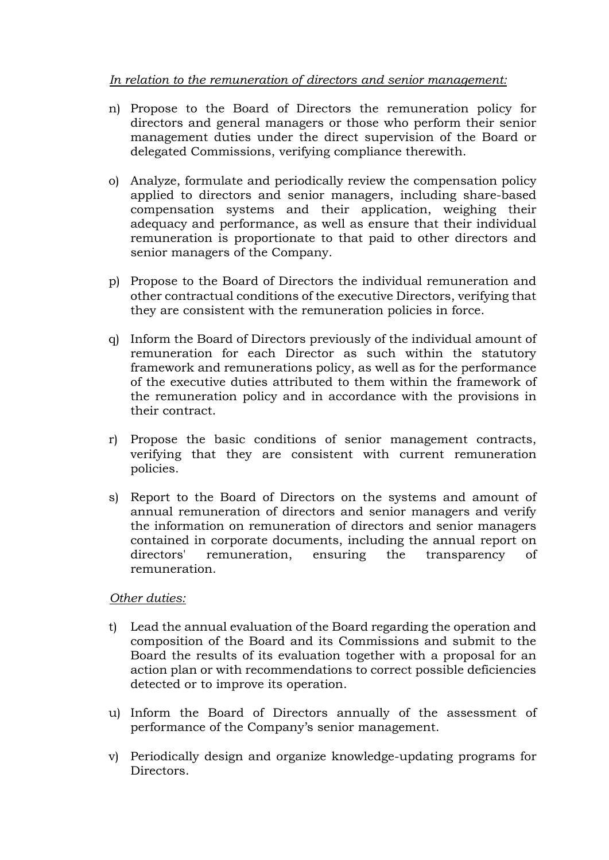### *In relation to the remuneration of directors and senior management:*

- n) Propose to the Board of Directors the remuneration policy for directors and general managers or those who perform their senior management duties under the direct supervision of the Board or delegated Commissions, verifying compliance therewith.
- o) Analyze, formulate and periodically review the compensation policy applied to directors and senior managers, including share-based compensation systems and their application, weighing their adequacy and performance, as well as ensure that their individual remuneration is proportionate to that paid to other directors and senior managers of the Company.
- p) Propose to the Board of Directors the individual remuneration and other contractual conditions of the executive Directors, verifying that they are consistent with the remuneration policies in force.
- q) Inform the Board of Directors previously of the individual amount of remuneration for each Director as such within the statutory framework and remunerations policy, as well as for the performance of the executive duties attributed to them within the framework of the remuneration policy and in accordance with the provisions in their contract.
- r) Propose the basic conditions of senior management contracts, verifying that they are consistent with current remuneration policies.
- s) Report to the Board of Directors on the systems and amount of annual remuneration of directors and senior managers and verify the information on remuneration of directors and senior managers contained in corporate documents, including the annual report on directors' remuneration, ensuring the transparency of remuneration.

#### *Other duties:*

- t) Lead the annual evaluation of the Board regarding the operation and composition of the Board and its Commissions and submit to the Board the results of its evaluation together with a proposal for an action plan or with recommendations to correct possible deficiencies detected or to improve its operation.
- u) Inform the Board of Directors annually of the assessment of performance of the Company's senior management.
- v) Periodically design and organize knowledge-updating programs for Directors.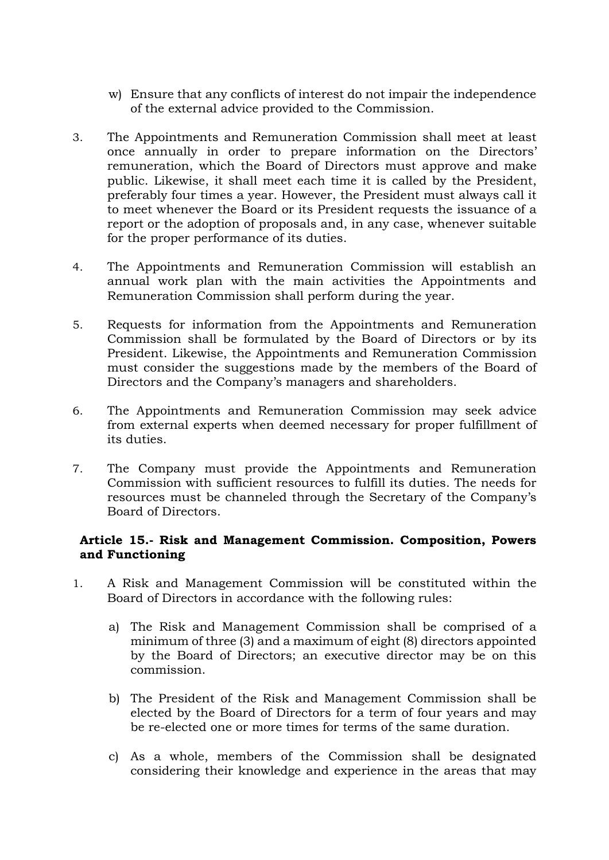- w) Ensure that any conflicts of interest do not impair the independence of the external advice provided to the Commission.
- 3. The Appointments and Remuneration Commission shall meet at least once annually in order to prepare information on the Directors' remuneration, which the Board of Directors must approve and make public. Likewise, it shall meet each time it is called by the President, preferably four times a year. However, the President must always call it to meet whenever the Board or its President requests the issuance of a report or the adoption of proposals and, in any case, whenever suitable for the proper performance of its duties.
- 4. The Appointments and Remuneration Commission will establish an annual work plan with the main activities the Appointments and Remuneration Commission shall perform during the year.
- 5. Requests for information from the Appointments and Remuneration Commission shall be formulated by the Board of Directors or by its President. Likewise, the Appointments and Remuneration Commission must consider the suggestions made by the members of the Board of Directors and the Company's managers and shareholders.
- 6. The Appointments and Remuneration Commission may seek advice from external experts when deemed necessary for proper fulfillment of its duties.
- 7. The Company must provide the Appointments and Remuneration Commission with sufficient resources to fulfill its duties. The needs for resources must be channeled through the Secretary of the Company's Board of Directors.

#### **Article 15.- Risk and Management Commission. Composition, Powers and Functioning**

- 1. A Risk and Management Commission will be constituted within the Board of Directors in accordance with the following rules:
	- a) The Risk and Management Commission shall be comprised of a minimum of three (3) and a maximum of eight (8) directors appointed by the Board of Directors; an executive director may be on this commission.
	- b) The President of the Risk and Management Commission shall be elected by the Board of Directors for a term of four years and may be re-elected one or more times for terms of the same duration.
	- c) As a whole, members of the Commission shall be designated considering their knowledge and experience in the areas that may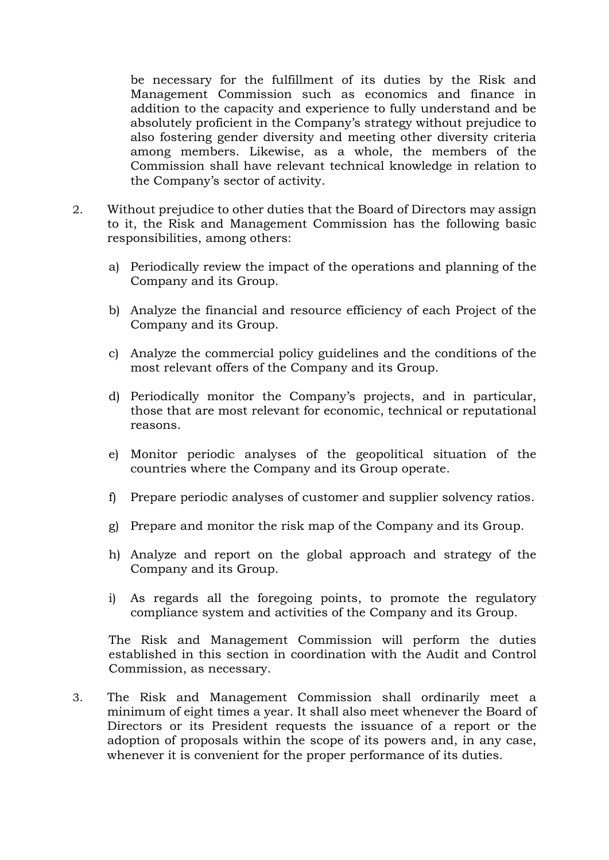be necessary for the fulfillment of its duties by the Risk and Management Commission such as economics and finance in addition to the capacity and experience to fully understand and be absolutely proficient in the Company's strategy without prejudice to also fostering gender diversity and meeting other diversity criteria among members. Likewise, as a whole, the members of the Commission shall have relevant technical knowledge in relation to the Company's sector of activity.

- 2. Without prejudice to other duties that the Board of Directors may assign to it, the Risk and Management Commission has the following basic responsibilities, among others:
	- a) Periodically review the impact of the operations and planning of the Company and its Group.
	- b) Analyze the financial and resource efficiency of each Project of the Company and its Group.
	- c) Analyze the commercial policy guidelines and the conditions of the most relevant offers of the Company and its Group.
	- d) Periodically monitor the Company's projects, and in particular, those that are most relevant for economic, technical or reputational reasons.
	- e) Monitor periodic analyses of the geopolitical situation of the countries where the Company and its Group operate.
	- f) Prepare periodic analyses of customer and supplier solvency ratios.
	- g) Prepare and monitor the risk map of the Company and its Group.
	- h) Analyze and report on the global approach and strategy of the Company and its Group.
	- i) As regards all the foregoing points, to promote the regulatory compliance system and activities of the Company and its Group.

The Risk and Management Commission will perform the duties established in this section in coordination with the Audit and Control Commission, as necessary.

3. The Risk and Management Commission shall ordinarily meet a minimum of eight times a year. It shall also meet whenever the Board of Directors or its President requests the issuance of a report or the adoption of proposals within the scope of its powers and, in any case, whenever it is convenient for the proper performance of its duties.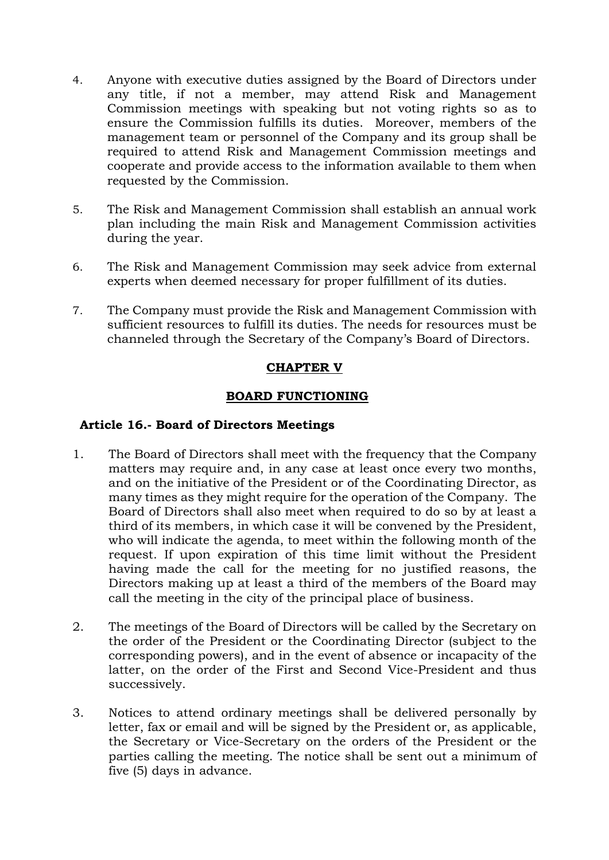- 4. Anyone with executive duties assigned by the Board of Directors under any title, if not a member, may attend Risk and Management Commission meetings with speaking but not voting rights so as to ensure the Commission fulfills its duties. Moreover, members of the management team or personnel of the Company and its group shall be required to attend Risk and Management Commission meetings and cooperate and provide access to the information available to them when requested by the Commission.
- 5. The Risk and Management Commission shall establish an annual work plan including the main Risk and Management Commission activities during the year.
- 6. The Risk and Management Commission may seek advice from external experts when deemed necessary for proper fulfillment of its duties.
- 7. The Company must provide the Risk and Management Commission with sufficient resources to fulfill its duties. The needs for resources must be channeled through the Secretary of the Company's Board of Directors.

# **CHAPTER V**

# **BOARD FUNCTIONING**

#### **Article 16.- Board of Directors Meetings**

- 1. The Board of Directors shall meet with the frequency that the Company matters may require and, in any case at least once every two months, and on the initiative of the President or of the Coordinating Director, as many times as they might require for the operation of the Company. The Board of Directors shall also meet when required to do so by at least a third of its members, in which case it will be convened by the President, who will indicate the agenda, to meet within the following month of the request. If upon expiration of this time limit without the President having made the call for the meeting for no justified reasons, the Directors making up at least a third of the members of the Board may call the meeting in the city of the principal place of business.
- 2. The meetings of the Board of Directors will be called by the Secretary on the order of the President or the Coordinating Director (subject to the corresponding powers), and in the event of absence or incapacity of the latter, on the order of the First and Second Vice-President and thus successively.
- 3. Notices to attend ordinary meetings shall be delivered personally by letter, fax or email and will be signed by the President or, as applicable, the Secretary or Vice-Secretary on the orders of the President or the parties calling the meeting. The notice shall be sent out a minimum of five (5) days in advance.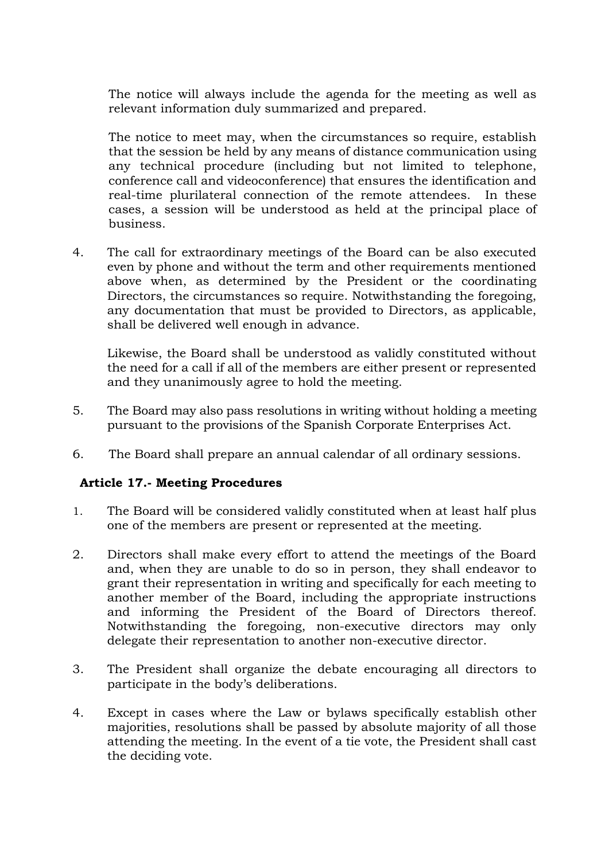The notice will always include the agenda for the meeting as well as relevant information duly summarized and prepared.

The notice to meet may, when the circumstances so require, establish that the session be held by any means of distance communication using any technical procedure (including but not limited to telephone, conference call and videoconference) that ensures the identification and real-time plurilateral connection of the remote attendees. In these cases, a session will be understood as held at the principal place of business.

4. The call for extraordinary meetings of the Board can be also executed even by phone and without the term and other requirements mentioned above when, as determined by the President or the coordinating Directors, the circumstances so require. Notwithstanding the foregoing, any documentation that must be provided to Directors, as applicable, shall be delivered well enough in advance.

Likewise, the Board shall be understood as validly constituted without the need for a call if all of the members are either present or represented and they unanimously agree to hold the meeting.

- 5. The Board may also pass resolutions in writing without holding a meeting pursuant to the provisions of the Spanish Corporate Enterprises Act.
- 6. The Board shall prepare an annual calendar of all ordinary sessions.

# **Article 17.- Meeting Procedures**

- 1. The Board will be considered validly constituted when at least half plus one of the members are present or represented at the meeting.
- 2. Directors shall make every effort to attend the meetings of the Board and, when they are unable to do so in person, they shall endeavor to grant their representation in writing and specifically for each meeting to another member of the Board, including the appropriate instructions and informing the President of the Board of Directors thereof. Notwithstanding the foregoing, non-executive directors may only delegate their representation to another non-executive director.
- 3. The President shall organize the debate encouraging all directors to participate in the body's deliberations.
- 4. Except in cases where the Law or bylaws specifically establish other majorities, resolutions shall be passed by absolute majority of all those attending the meeting. In the event of a tie vote, the President shall cast the deciding vote.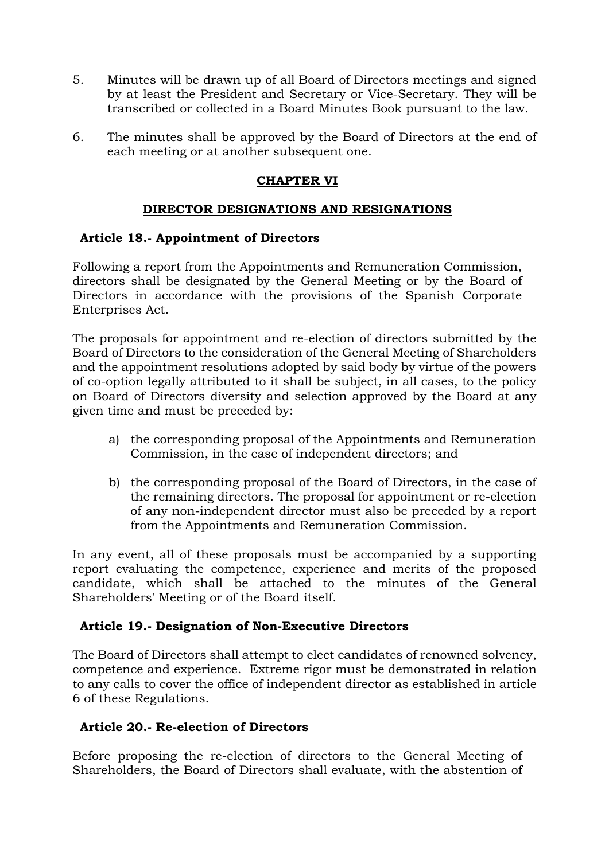- 5. Minutes will be drawn up of all Board of Directors meetings and signed by at least the President and Secretary or Vice-Secretary. They will be transcribed or collected in a Board Minutes Book pursuant to the law.
- 6. The minutes shall be approved by the Board of Directors at the end of each meeting or at another subsequent one.

# **CHAPTER VI**

# **DIRECTOR DESIGNATIONS AND RESIGNATIONS**

# **Article 18.- Appointment of Directors**

Following a report from the Appointments and Remuneration Commission, directors shall be designated by the General Meeting or by the Board of Directors in accordance with the provisions of the Spanish Corporate Enterprises Act.

The proposals for appointment and re-election of directors submitted by the Board of Directors to the consideration of the General Meeting of Shareholders and the appointment resolutions adopted by said body by virtue of the powers of co-option legally attributed to it shall be subject, in all cases, to the policy on Board of Directors diversity and selection approved by the Board at any given time and must be preceded by:

- a) the corresponding proposal of the Appointments and Remuneration Commission, in the case of independent directors; and
- b) the corresponding proposal of the Board of Directors, in the case of the remaining directors. The proposal for appointment or re-election of any non-independent director must also be preceded by a report from the Appointments and Remuneration Commission.

In any event, all of these proposals must be accompanied by a supporting report evaluating the competence, experience and merits of the proposed candidate, which shall be attached to the minutes of the General Shareholders' Meeting or of the Board itself.

# **Article 19.- Designation of Non-Executive Directors**

The Board of Directors shall attempt to elect candidates of renowned solvency, competence and experience. Extreme rigor must be demonstrated in relation to any calls to cover the office of independent director as established in article 6 of these Regulations.

#### **Article 20.- Re-election of Directors**

Before proposing the re-election of directors to the General Meeting of Shareholders, the Board of Directors shall evaluate, with the abstention of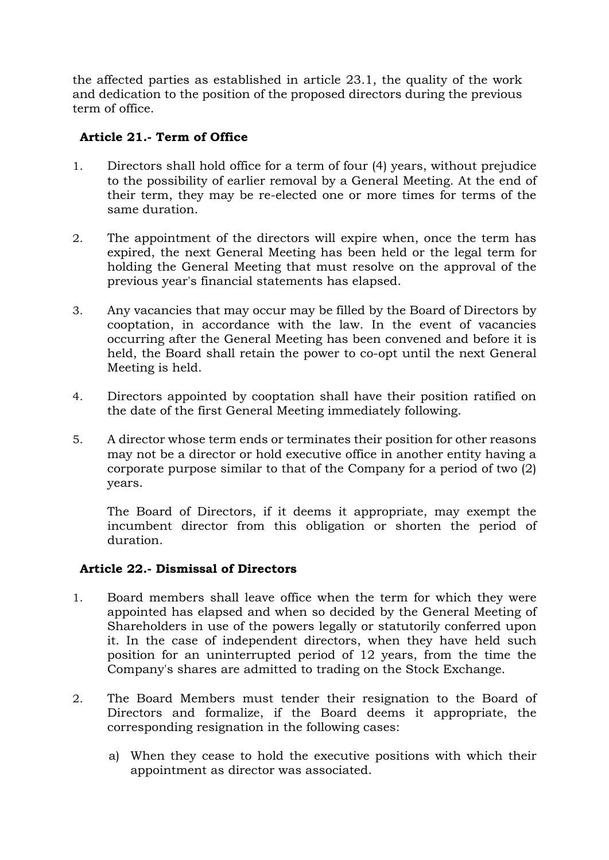the affected parties as established in article 23.1, the quality of the work and dedication to the position of the proposed directors during the previous term of office.

# **Article 21.- Term of Office**

- 1. Directors shall hold office for a term of four (4) years, without prejudice to the possibility of earlier removal by a General Meeting. At the end of their term, they may be re-elected one or more times for terms of the same duration.
- 2. The appointment of the directors will expire when, once the term has expired, the next General Meeting has been held or the legal term for holding the General Meeting that must resolve on the approval of the previous year's financial statements has elapsed.
- 3. Any vacancies that may occur may be filled by the Board of Directors by cooptation, in accordance with the law. In the event of vacancies occurring after the General Meeting has been convened and before it is held, the Board shall retain the power to co-opt until the next General Meeting is held.
- 4. Directors appointed by cooptation shall have their position ratified on the date of the first General Meeting immediately following.
- 5. A director whose term ends or terminates their position for other reasons may not be a director or hold executive office in another entity having a corporate purpose similar to that of the Company for a period of two (2) years.

The Board of Directors, if it deems it appropriate, may exempt the incumbent director from this obligation or shorten the period of duration.

# **Article 22.- Dismissal of Directors**

- 1. Board members shall leave office when the term for which they were appointed has elapsed and when so decided by the General Meeting of Shareholders in use of the powers legally or statutorily conferred upon it. In the case of independent directors, when they have held such position for an uninterrupted period of 12 years, from the time the Company's shares are admitted to trading on the Stock Exchange.
- 2. The Board Members must tender their resignation to the Board of Directors and formalize, if the Board deems it appropriate, the corresponding resignation in the following cases:
	- a) When they cease to hold the executive positions with which their appointment as director was associated.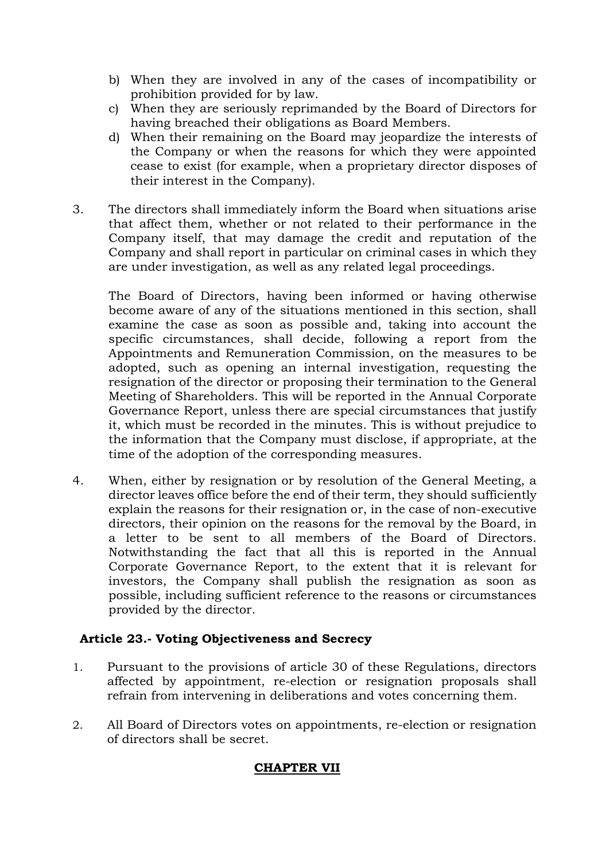- b) When they are involved in any of the cases of incompatibility or prohibition provided for by law.
- c) When they are seriously reprimanded by the Board of Directors for having breached their obligations as Board Members.
- d) When their remaining on the Board may jeopardize the interests of the Company or when the reasons for which they were appointed cease to exist (for example, when a proprietary director disposes of their interest in the Company).
- 3. The directors shall immediately inform the Board when situations arise that affect them, whether or not related to their performance in the Company itself, that may damage the credit and reputation of the Company and shall report in particular on criminal cases in which they are under investigation, as well as any related legal proceedings.

The Board of Directors, having been informed or having otherwise become aware of any of the situations mentioned in this section, shall examine the case as soon as possible and, taking into account the specific circumstances, shall decide, following a report from the Appointments and Remuneration Commission, on the measures to be adopted, such as opening an internal investigation, requesting the resignation of the director or proposing their termination to the General Meeting of Shareholders. This will be reported in the Annual Corporate Governance Report, unless there are special circumstances that justify it, which must be recorded in the minutes. This is without prejudice to the information that the Company must disclose, if appropriate, at the time of the adoption of the corresponding measures.

4. When, either by resignation or by resolution of the General Meeting, a director leaves office before the end of their term, they should sufficiently explain the reasons for their resignation or, in the case of non-executive directors, their opinion on the reasons for the removal by the Board, in a letter to be sent to all members of the Board of Directors. Notwithstanding the fact that all this is reported in the Annual Corporate Governance Report, to the extent that it is relevant for investors, the Company shall publish the resignation as soon as possible, including sufficient reference to the reasons or circumstances provided by the director.

# **Article 23.- Voting Objectiveness and Secrecy**

- 1. Pursuant to the provisions of article 30 of these Regulations, directors affected by appointment, re-election or resignation proposals shall refrain from intervening in deliberations and votes concerning them.
- 2. All Board of Directors votes on appointments, re-election or resignation of directors shall be secret.

#### **CHAPTER VII**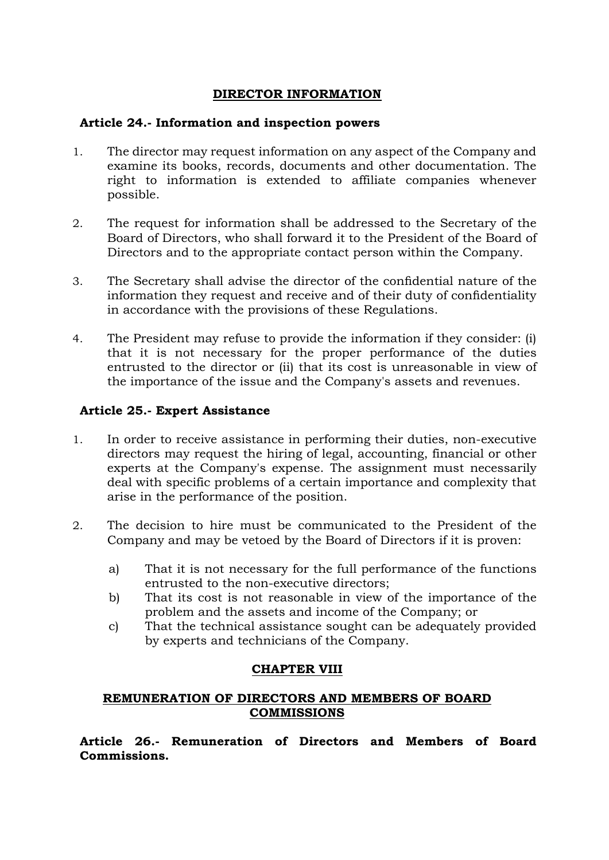# **DIRECTOR INFORMATION**

# **Article 24.- Information and inspection powers**

- 1. The director may request information on any aspect of the Company and examine its books, records, documents and other documentation. The right to information is extended to affiliate companies whenever possible.
- 2. The request for information shall be addressed to the Secretary of the Board of Directors, who shall forward it to the President of the Board of Directors and to the appropriate contact person within the Company.
- 3. The Secretary shall advise the director of the confidential nature of the information they request and receive and of their duty of confidentiality in accordance with the provisions of these Regulations.
- 4. The President may refuse to provide the information if they consider: (i) that it is not necessary for the proper performance of the duties entrusted to the director or (ii) that its cost is unreasonable in view of the importance of the issue and the Company's assets and revenues.

# **Article 25.- Expert Assistance**

- 1. In order to receive assistance in performing their duties, non-executive directors may request the hiring of legal, accounting, financial or other experts at the Company's expense. The assignment must necessarily deal with specific problems of a certain importance and complexity that arise in the performance of the position.
- 2. The decision to hire must be communicated to the President of the Company and may be vetoed by the Board of Directors if it is proven:
	- a) That it is not necessary for the full performance of the functions entrusted to the non-executive directors;
	- b) That its cost is not reasonable in view of the importance of the problem and the assets and income of the Company; or
	- c) That the technical assistance sought can be adequately provided by experts and technicians of the Company.

# **CHAPTER VIII**

# **REMUNERATION OF DIRECTORS AND MEMBERS OF BOARD COMMISSIONS**

**Article 26.- Remuneration of Directors and Members of Board Commissions.**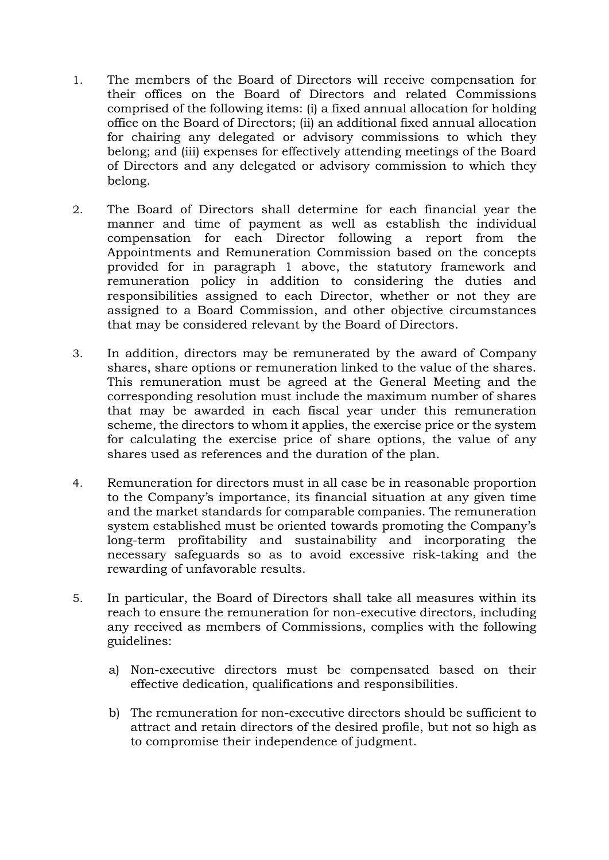- 1. The members of the Board of Directors will receive compensation for their offices on the Board of Directors and related Commissions comprised of the following items: (i) a fixed annual allocation for holding office on the Board of Directors; (ii) an additional fixed annual allocation for chairing any delegated or advisory commissions to which they belong; and (iii) expenses for effectively attending meetings of the Board of Directors and any delegated or advisory commission to which they belong.
- 2. The Board of Directors shall determine for each financial year the manner and time of payment as well as establish the individual compensation for each Director following a report from the Appointments and Remuneration Commission based on the concepts provided for in paragraph 1 above, the statutory framework and remuneration policy in addition to considering the duties and responsibilities assigned to each Director, whether or not they are assigned to a Board Commission, and other objective circumstances that may be considered relevant by the Board of Directors.
- 3. In addition, directors may be remunerated by the award of Company shares, share options or remuneration linked to the value of the shares. This remuneration must be agreed at the General Meeting and the corresponding resolution must include the maximum number of shares that may be awarded in each fiscal year under this remuneration scheme, the directors to whom it applies, the exercise price or the system for calculating the exercise price of share options, the value of any shares used as references and the duration of the plan.
- 4. Remuneration for directors must in all case be in reasonable proportion to the Company's importance, its financial situation at any given time and the market standards for comparable companies. The remuneration system established must be oriented towards promoting the Company's long-term profitability and sustainability and incorporating the necessary safeguards so as to avoid excessive risk-taking and the rewarding of unfavorable results.
- 5. In particular, the Board of Directors shall take all measures within its reach to ensure the remuneration for non-executive directors, including any received as members of Commissions, complies with the following guidelines:
	- a) Non-executive directors must be compensated based on their effective dedication, qualifications and responsibilities.
	- b) The remuneration for non-executive directors should be sufficient to attract and retain directors of the desired profile, but not so high as to compromise their independence of judgment.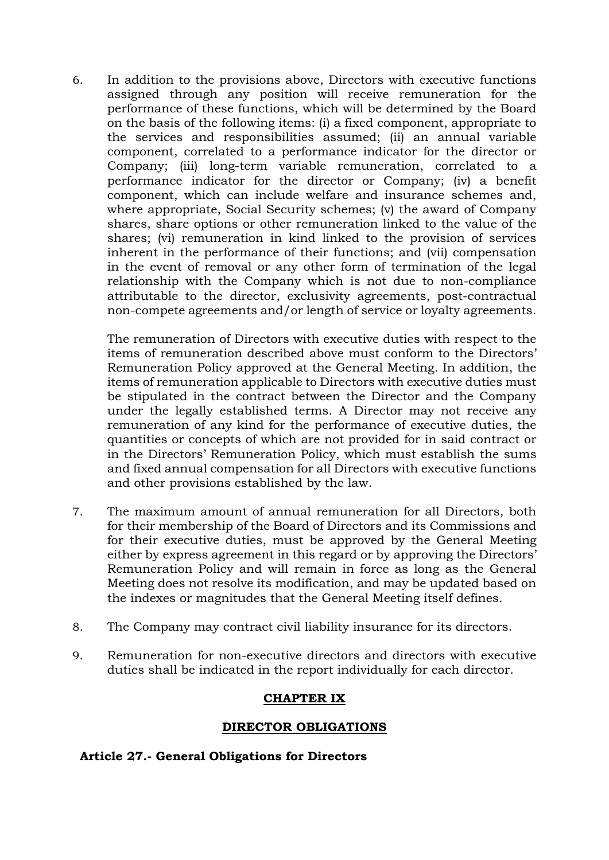6. In addition to the provisions above, Directors with executive functions assigned through any position will receive remuneration for the performance of these functions, which will be determined by the Board on the basis of the following items: (i) a fixed component, appropriate to the services and responsibilities assumed; (ii) an annual variable component, correlated to a performance indicator for the director or Company; (iii) long-term variable remuneration, correlated to a performance indicator for the director or Company; (iv) a benefit component, which can include welfare and insurance schemes and, where appropriate, Social Security schemes; (v) the award of Company shares, share options or other remuneration linked to the value of the shares; (vi) remuneration in kind linked to the provision of services inherent in the performance of their functions; and (vii) compensation in the event of removal or any other form of termination of the legal relationship with the Company which is not due to non-compliance attributable to the director, exclusivity agreements, post-contractual non-compete agreements and/or length of service or loyalty agreements.

The remuneration of Directors with executive duties with respect to the items of remuneration described above must conform to the Directors' Remuneration Policy approved at the General Meeting. In addition, the items of remuneration applicable to Directors with executive duties must be stipulated in the contract between the Director and the Company under the legally established terms. A Director may not receive any remuneration of any kind for the performance of executive duties, the quantities or concepts of which are not provided for in said contract or in the Directors' Remuneration Policy, which must establish the sums and fixed annual compensation for all Directors with executive functions and other provisions established by the law.

- 7. The maximum amount of annual remuneration for all Directors, both for their membership of the Board of Directors and its Commissions and for their executive duties, must be approved by the General Meeting either by express agreement in this regard or by approving the Directors' Remuneration Policy and will remain in force as long as the General Meeting does not resolve its modification, and may be updated based on the indexes or magnitudes that the General Meeting itself defines.
- 8. The Company may contract civil liability insurance for its directors.
- 9. Remuneration for non-executive directors and directors with executive duties shall be indicated in the report individually for each director.

# **CHAPTER IX**

#### **DIRECTOR OBLIGATIONS**

#### **Article 27.- General Obligations for Directors**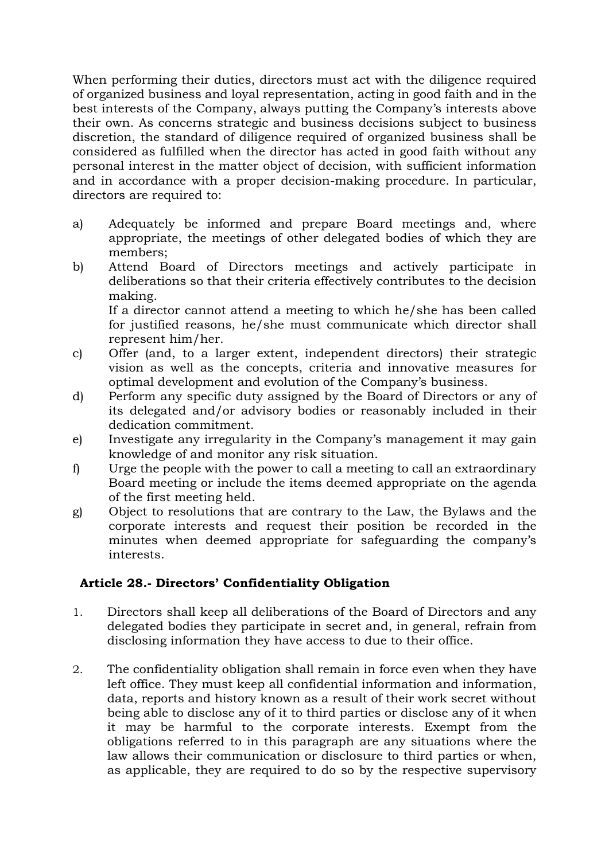When performing their duties, directors must act with the diligence required of organized business and loyal representation, acting in good faith and in the best interests of the Company, always putting the Company's interests above their own. As concerns strategic and business decisions subject to business discretion, the standard of diligence required of organized business shall be considered as fulfilled when the director has acted in good faith without any personal interest in the matter object of decision, with sufficient information and in accordance with a proper decision-making procedure. In particular, directors are required to:

- a) Adequately be informed and prepare Board meetings and, where appropriate, the meetings of other delegated bodies of which they are members;
- b) Attend Board of Directors meetings and actively participate in deliberations so that their criteria effectively contributes to the decision making. If a director cannot attend a meeting to which he/she has been called

for justified reasons, he/she must communicate which director shall represent him/her.

- c) Offer (and, to a larger extent, independent directors) their strategic vision as well as the concepts, criteria and innovative measures for optimal development and evolution of the Company's business.
- d) Perform any specific duty assigned by the Board of Directors or any of its delegated and/or advisory bodies or reasonably included in their dedication commitment.
- e) Investigate any irregularity in the Company's management it may gain knowledge of and monitor any risk situation.
- f) Urge the people with the power to call a meeting to call an extraordinary Board meeting or include the items deemed appropriate on the agenda of the first meeting held.
- g) Object to resolutions that are contrary to the Law, the Bylaws and the corporate interests and request their position be recorded in the minutes when deemed appropriate for safeguarding the company's interests.

# **Article 28.- Directors' Confidentiality Obligation**

- 1. Directors shall keep all deliberations of the Board of Directors and any delegated bodies they participate in secret and, in general, refrain from disclosing information they have access to due to their office.
- 2. The confidentiality obligation shall remain in force even when they have left office. They must keep all confidential information and information, data, reports and history known as a result of their work secret without being able to disclose any of it to third parties or disclose any of it when it may be harmful to the corporate interests. Exempt from the obligations referred to in this paragraph are any situations where the law allows their communication or disclosure to third parties or when, as applicable, they are required to do so by the respective supervisory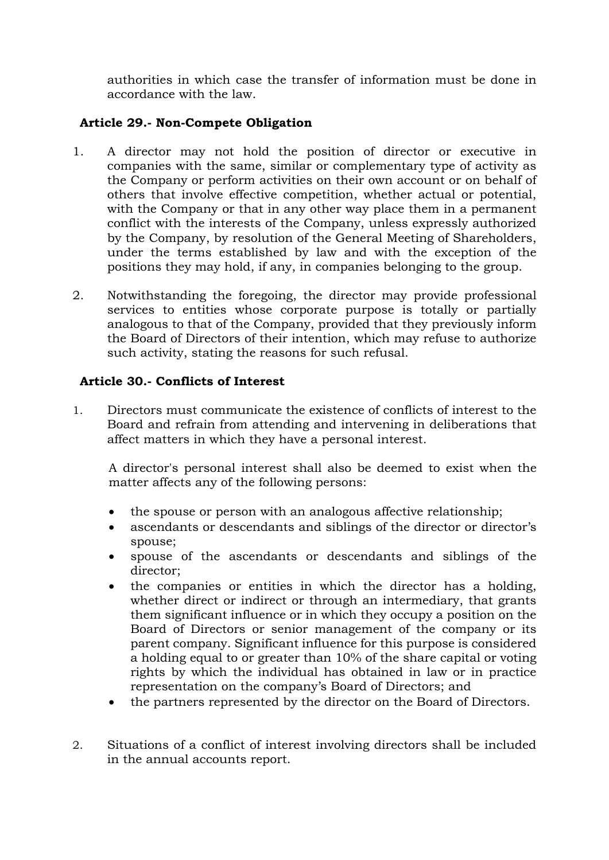authorities in which case the transfer of information must be done in accordance with the law.

# **Article 29.- Non-Compete Obligation**

- 1. A director may not hold the position of director or executive in companies with the same, similar or complementary type of activity as the Company or perform activities on their own account or on behalf of others that involve effective competition, whether actual or potential, with the Company or that in any other way place them in a permanent conflict with the interests of the Company, unless expressly authorized by the Company, by resolution of the General Meeting of Shareholders, under the terms established by law and with the exception of the positions they may hold, if any, in companies belonging to the group.
- 2. Notwithstanding the foregoing, the director may provide professional services to entities whose corporate purpose is totally or partially analogous to that of the Company, provided that they previously inform the Board of Directors of their intention, which may refuse to authorize such activity, stating the reasons for such refusal.

# **Article 30.- Conflicts of Interest**

1. Directors must communicate the existence of conflicts of interest to the Board and refrain from attending and intervening in deliberations that affect matters in which they have a personal interest.

A director's personal interest shall also be deemed to exist when the matter affects any of the following persons:

- the spouse or person with an analogous affective relationship;
- ascendants or descendants and siblings of the director or director's spouse;
- spouse of the ascendants or descendants and siblings of the director;
- the companies or entities in which the director has a holding, whether direct or indirect or through an intermediary, that grants them significant influence or in which they occupy a position on the Board of Directors or senior management of the company or its parent company. Significant influence for this purpose is considered a holding equal to or greater than 10% of the share capital or voting rights by which the individual has obtained in law or in practice representation on the company's Board of Directors; and
- the partners represented by the director on the Board of Directors.
- 2. Situations of a conflict of interest involving directors shall be included in the annual accounts report.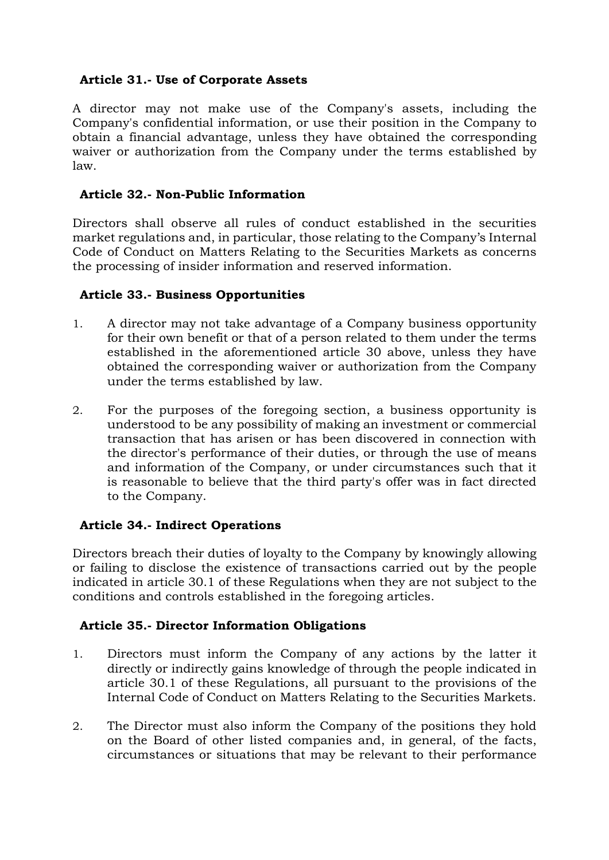# **Article 31.- Use of Corporate Assets**

A director may not make use of the Company's assets, including the Company's confidential information, or use their position in the Company to obtain a financial advantage, unless they have obtained the corresponding waiver or authorization from the Company under the terms established by law.

# **Article 32.- Non-Public Information**

Directors shall observe all rules of conduct established in the securities market regulations and, in particular, those relating to the Company's Internal Code of Conduct on Matters Relating to the Securities Markets as concerns the processing of insider information and reserved information.

# **Article 33.- Business Opportunities**

- 1. A director may not take advantage of a Company business opportunity for their own benefit or that of a person related to them under the terms established in the aforementioned article 30 above, unless they have obtained the corresponding waiver or authorization from the Company under the terms established by law.
- 2. For the purposes of the foregoing section, a business opportunity is understood to be any possibility of making an investment or commercial transaction that has arisen or has been discovered in connection with the director's performance of their duties, or through the use of means and information of the Company, or under circumstances such that it is reasonable to believe that the third party's offer was in fact directed to the Company.

# **Article 34.- Indirect Operations**

Directors breach their duties of loyalty to the Company by knowingly allowing or failing to disclose the existence of transactions carried out by the people indicated in article 30.1 of these Regulations when they are not subject to the conditions and controls established in the foregoing articles.

#### **Article 35.- Director Information Obligations**

- 1. Directors must inform the Company of any actions by the latter it directly or indirectly gains knowledge of through the people indicated in article 30.1 of these Regulations, all pursuant to the provisions of the Internal Code of Conduct on Matters Relating to the Securities Markets.
- 2. The Director must also inform the Company of the positions they hold on the Board of other listed companies and, in general, of the facts, circumstances or situations that may be relevant to their performance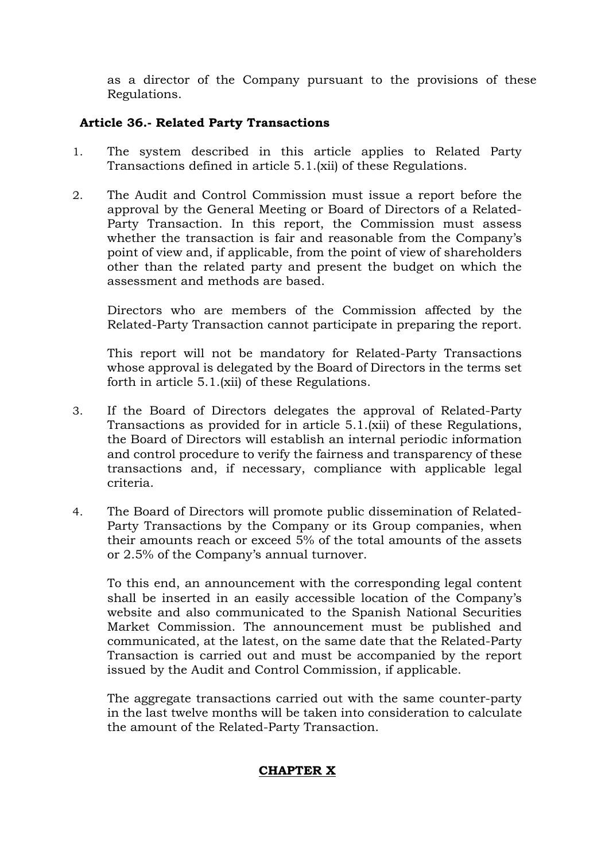as a director of the Company pursuant to the provisions of these Regulations.

# **Article 36.- Related Party Transactions**

- 1. The system described in this article applies to Related Party Transactions defined in article 5.1.(xii) of these Regulations.
- 2. The Audit and Control Commission must issue a report before the approval by the General Meeting or Board of Directors of a Related-Party Transaction. In this report, the Commission must assess whether the transaction is fair and reasonable from the Company's point of view and, if applicable, from the point of view of shareholders other than the related party and present the budget on which the assessment and methods are based.

Directors who are members of the Commission affected by the Related-Party Transaction cannot participate in preparing the report.

This report will not be mandatory for Related-Party Transactions whose approval is delegated by the Board of Directors in the terms set forth in article 5.1.(xii) of these Regulations.

- 3. If the Board of Directors delegates the approval of Related-Party Transactions as provided for in article 5.1.(xii) of these Regulations, the Board of Directors will establish an internal periodic information and control procedure to verify the fairness and transparency of these transactions and, if necessary, compliance with applicable legal criteria.
- 4. The Board of Directors will promote public dissemination of Related-Party Transactions by the Company or its Group companies, when their amounts reach or exceed 5% of the total amounts of the assets or 2.5% of the Company's annual turnover.

To this end, an announcement with the corresponding legal content shall be inserted in an easily accessible location of the Company's website and also communicated to the Spanish National Securities Market Commission. The announcement must be published and communicated, at the latest, on the same date that the Related-Party Transaction is carried out and must be accompanied by the report issued by the Audit and Control Commission, if applicable.

The aggregate transactions carried out with the same counter-party in the last twelve months will be taken into consideration to calculate the amount of the Related-Party Transaction.

#### **CHAPTER X**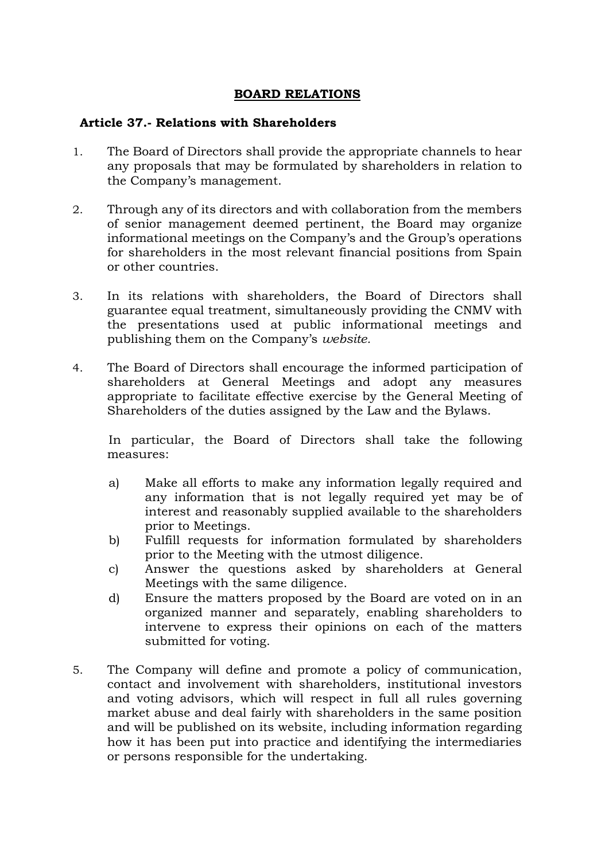# **BOARD RELATIONS**

#### **Article 37.- Relations with Shareholders**

- 1. The Board of Directors shall provide the appropriate channels to hear any proposals that may be formulated by shareholders in relation to the Company's management.
- 2. Through any of its directors and with collaboration from the members of senior management deemed pertinent, the Board may organize informational meetings on the Company's and the Group's operations for shareholders in the most relevant financial positions from Spain or other countries.
- 3. In its relations with shareholders, the Board of Directors shall guarantee equal treatment, simultaneously providing the CNMV with the presentations used at public informational meetings and publishing them on the Company's *website.*
- 4. The Board of Directors shall encourage the informed participation of shareholders at General Meetings and adopt any measures appropriate to facilitate effective exercise by the General Meeting of Shareholders of the duties assigned by the Law and the Bylaws.

In particular, the Board of Directors shall take the following measures:

- a) Make all efforts to make any information legally required and any information that is not legally required yet may be of interest and reasonably supplied available to the shareholders prior to Meetings.
- b) Fulfill requests for information formulated by shareholders prior to the Meeting with the utmost diligence.
- c) Answer the questions asked by shareholders at General Meetings with the same diligence.
- d) Ensure the matters proposed by the Board are voted on in an organized manner and separately, enabling shareholders to intervene to express their opinions on each of the matters submitted for voting.
- 5. The Company will define and promote a policy of communication, contact and involvement with shareholders, institutional investors and voting advisors, which will respect in full all rules governing market abuse and deal fairly with shareholders in the same position and will be published on its website, including information regarding how it has been put into practice and identifying the intermediaries or persons responsible for the undertaking.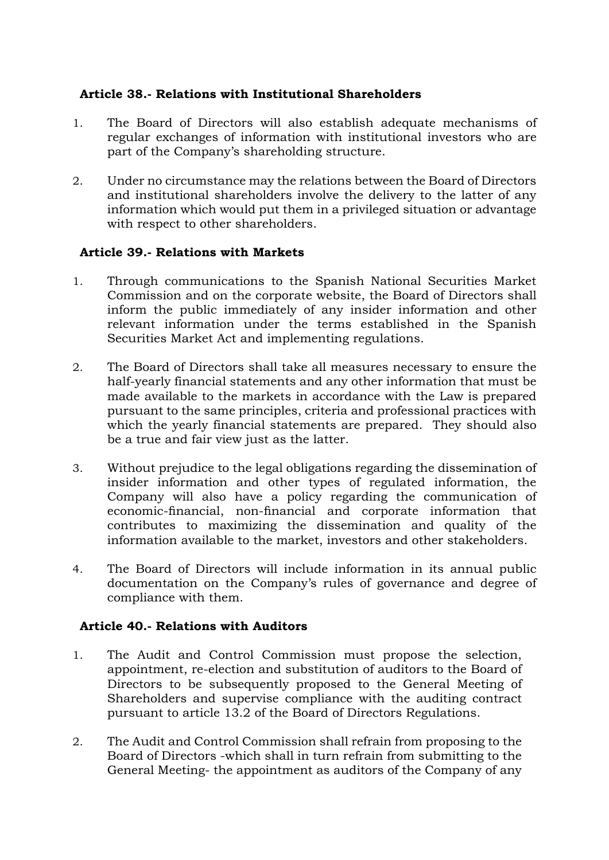# **Article 38.- Relations with Institutional Shareholders**

- 1. The Board of Directors will also establish adequate mechanisms of regular exchanges of information with institutional investors who are part of the Company's shareholding structure.
- 2. Under no circumstance may the relations between the Board of Directors and institutional shareholders involve the delivery to the latter of any information which would put them in a privileged situation or advantage with respect to other shareholders.

#### **Article 39.- Relations with Markets**

- 1. Through communications to the Spanish National Securities Market Commission and on the corporate website, the Board of Directors shall inform the public immediately of any insider information and other relevant information under the terms established in the Spanish Securities Market Act and implementing regulations.
- 2. The Board of Directors shall take all measures necessary to ensure the half-yearly financial statements and any other information that must be made available to the markets in accordance with the Law is prepared pursuant to the same principles, criteria and professional practices with which the yearly financial statements are prepared. They should also be a true and fair view just as the latter.
- 3. Without prejudice to the legal obligations regarding the dissemination of insider information and other types of regulated information, the Company will also have a policy regarding the communication of economic-financial, non-financial and corporate information that contributes to maximizing the dissemination and quality of the information available to the market, investors and other stakeholders.
- 4. The Board of Directors will include information in its annual public documentation on the Company's rules of governance and degree of compliance with them.

# **Article 40.- Relations with Auditors**

- 1. The Audit and Control Commission must propose the selection, appointment, re-election and substitution of auditors to the Board of Directors to be subsequently proposed to the General Meeting of Shareholders and supervise compliance with the auditing contract pursuant to article 13.2 of the Board of Directors Regulations.
- 2. The Audit and Control Commission shall refrain from proposing to the Board of Directors -which shall in turn refrain from submitting to the General Meeting- the appointment as auditors of the Company of any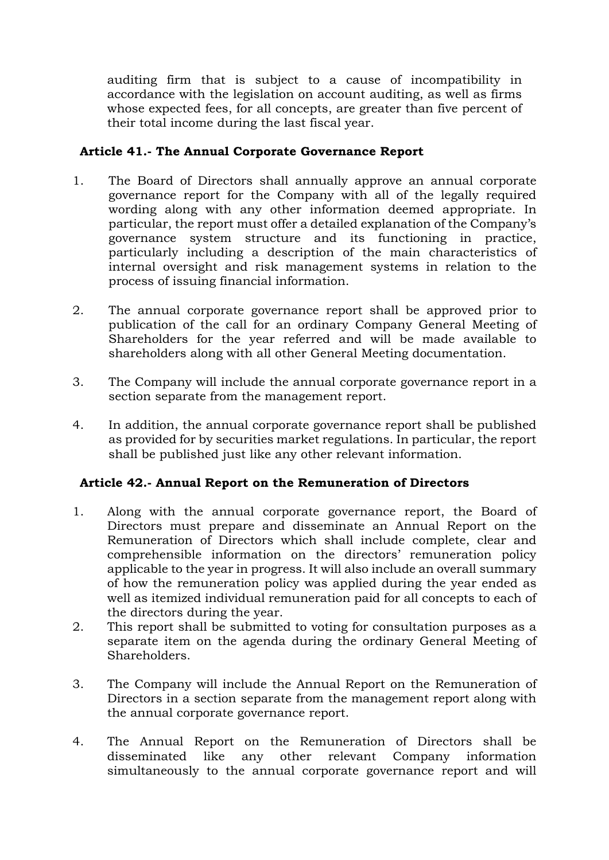auditing firm that is subject to a cause of incompatibility in accordance with the legislation on account auditing, as well as firms whose expected fees, for all concepts, are greater than five percent of their total income during the last fiscal year.

# **Article 41.- The Annual Corporate Governance Report**

- 1. The Board of Directors shall annually approve an annual corporate governance report for the Company with all of the legally required wording along with any other information deemed appropriate. In particular, the report must offer a detailed explanation of the Company's governance system structure and its functioning in practice, particularly including a description of the main characteristics of internal oversight and risk management systems in relation to the process of issuing financial information.
- 2. The annual corporate governance report shall be approved prior to publication of the call for an ordinary Company General Meeting of Shareholders for the year referred and will be made available to shareholders along with all other General Meeting documentation.
- 3. The Company will include the annual corporate governance report in a section separate from the management report.
- 4. In addition, the annual corporate governance report shall be published as provided for by securities market regulations. In particular, the report shall be published just like any other relevant information.

# **Article 42.- Annual Report on the Remuneration of Directors**

- 1. Along with the annual corporate governance report, the Board of Directors must prepare and disseminate an Annual Report on the Remuneration of Directors which shall include complete, clear and comprehensible information on the directors' remuneration policy applicable to the year in progress. It will also include an overall summary of how the remuneration policy was applied during the year ended as well as itemized individual remuneration paid for all concepts to each of the directors during the year.
- 2. This report shall be submitted to voting for consultation purposes as a separate item on the agenda during the ordinary General Meeting of Shareholders.
- 3. The Company will include the Annual Report on the Remuneration of Directors in a section separate from the management report along with the annual corporate governance report.
- 4. The Annual Report on the Remuneration of Directors shall be disseminated like any other relevant Company information simultaneously to the annual corporate governance report and will